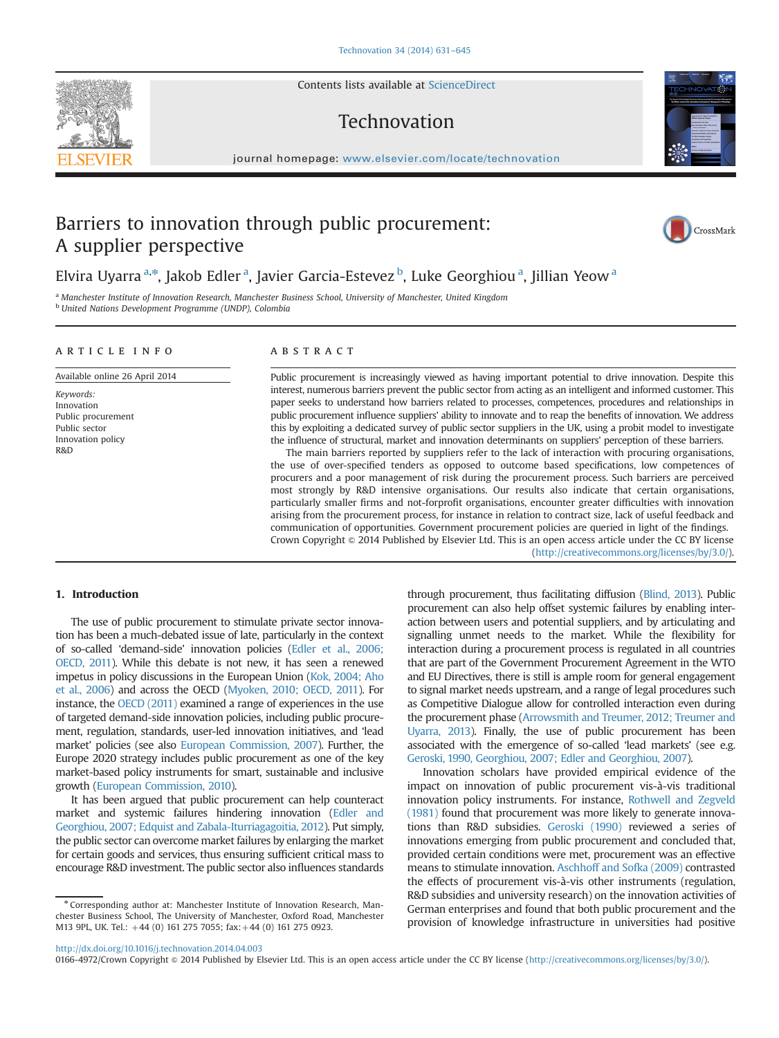Contents lists available at [ScienceDirect](www.sciencedirect.com/science/journal/01664972)

# Technovation

journal homepage: <www.elsevier.com/locate/technovation>.

# Barriers to innovation through public procurement: A supplier perspective

Elvira Uyarra <sup>a,</sup>\*, Jakob Edler <sup>a</sup>, Javier Garcia-Estevez <sup>b</sup>, Luke Georghiou <sup>a</sup>, Jillian Yeow <sup>a</sup>

<sup>a</sup> Manchester Institute of Innovation Research, Manchester Business School, University of Manchester, United Kingdom <sup>b</sup> United Nations Development Programme (UNDP), Colombia

# article info

Available online 26 April 2014

Keywords: Innovation Public procurement Public sector Innovation policy R&D

# **ABSTRACT**

Public procurement is increasingly viewed as having important potential to drive innovation. Despite this interest, numerous barriers prevent the public sector from acting as an intelligent and informed customer. This paper seeks to understand how barriers related to processes, competences, procedures and relationships in public procurement influence suppliers' ability to innovate and to reap the benefits of innovation. We address this by exploiting a dedicated survey of public sector suppliers in the UK, using a probit model to investigate the influence of structural, market and innovation determinants on suppliers' perception of these barriers.

The main barriers reported by suppliers refer to the lack of interaction with procuring organisations, the use of over-specified tenders as opposed to outcome based specifications, low competences of procurers and a poor management of risk during the procurement process. Such barriers are perceived most strongly by R&D intensive organisations. Our results also indicate that certain organisations, particularly smaller firms and not-forprofit organisations, encounter greater difficulties with innovation arising from the procurement process, for instance in relation to contract size, lack of useful feedback and communication of opportunities. Government procurement policies are queried in light of the findings. Crown Copyright  $\odot$  2014 Published by Elsevier Ltd. This is an open access article under the CC BY license

(http://creativecommons.org/licenses/by/3.0/).

# 1. Introduction

The use of public procurement to stimulate private sector innovation has been a much-debated issue of late, particularly in the context of so-called 'demand-side' innovation policies [\(Edler et al., 2006;](#page-14-0) [OECD, 2011](#page-14-0)). While this debate is not new, it has seen a renewed impetus in policy discussions in the European Union [\(Kok, 2004; Aho](#page-14-0) [et al., 2006](#page-14-0)) and across the OECD [\(Myoken, 2010; OECD, 2011](#page-14-0)). For instance, the [OECD \(2011\)](#page-14-0) examined a range of experiences in the use of targeted demand-side innovation policies, including public procurement, regulation, standards, user-led innovation initiatives, and 'lead market' policies (see also [European Commission, 2007\)](#page-14-0). Further, the Europe 2020 strategy includes public procurement as one of the key market-based policy instruments for smart, sustainable and inclusive growth [\(European Commission, 2010\)](#page-14-0).

It has been argued that public procurement can help counteract market and systemic failures hindering innovation ([Edler and](#page-14-0) [Georghiou, 2007; Edquist and Zabala-Iturriagagoitia, 2012\)](#page-14-0). Put simply, the public sector can overcome market failures by enlarging the market for certain goods and services, thus ensuring sufficient critical mass to encourage R&D investment. The public sector also influences standards

<sup>n</sup> Corresponding author at: Manchester Institute of Innovation Research, Manchester Business School, The University of Manchester, Oxford Road, Manchester M13 9PL, UK. Tel.: +44 (0) 161 275 7055; fax:+44 (0) 161 275 0923.

through procurement, thus facilitating diffusion [\(Blind, 2013\)](#page-14-0). Public procurement can also help offset systemic failures by enabling interaction between users and potential suppliers, and by articulating and signalling unmet needs to the market. While the flexibility for interaction during a procurement process is regulated in all countries that are part of the Government Procurement Agreement in the WTO and EU Directives, there is still is ample room for general engagement to signal market needs upstream, and a range of legal procedures such as Competitive Dialogue allow for controlled interaction even during the procurement phase ([Arrowsmith and Treumer, 2012; Treumer and](#page-14-0) [Uyarra, 2013\)](#page-14-0). Finally, the use of public procurement has been associated with the emergence of so-called 'lead markets' (see e.g. [Geroski, 1990, Georghiou, 2007; Edler and Georghiou, 2007](#page-14-0)).

Innovation scholars have provided empirical evidence of the impact on innovation of public procurement vis-à-vis traditional innovation policy instruments. For instance, [Rothwell and Zegveld](#page-14-0) [\(1981\)](#page-14-0) found that procurement was more likely to generate innovations than R&D subsidies. [Geroski \(1990\)](#page-14-0) reviewed a series of innovations emerging from public procurement and concluded that, provided certain conditions were met, procurement was an effective means to stimulate innovation. [Aschhoff and Sofka \(2009\)](#page-14-0) contrasted the effects of procurement vis-à-vis other instruments (regulation, R&D subsidies and university research) on the innovation activities of German enterprises and found that both public procurement and the provision of knowledge infrastructure in universities had positive

<http://dx.doi.org/10.1016/j.technovation.2014.04.003>

0166-4972/Crown Copyright © 2014 Published by Elsevier Ltd. This is an open access article under the CC BY license (http://creativecommons.org/licenses/by/3.0/).





CrossMark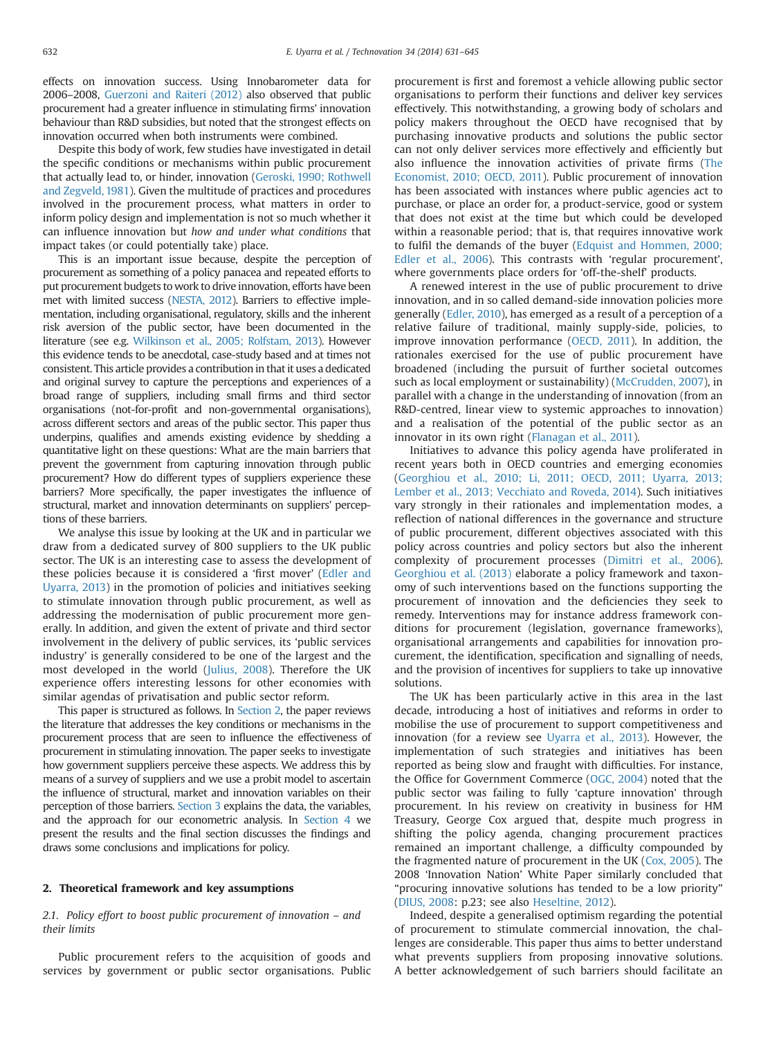<span id="page-1-0"></span>effects on innovation success. Using Innobarometer data for 2006–2008, [Guerzoni and Raiteri \(2012\)](#page-14-0) also observed that public procurement had a greater influence in stimulating firms' innovation behaviour than R&D subsidies, but noted that the strongest effects on innovation occurred when both instruments were combined.

Despite this body of work, few studies have investigated in detail the specific conditions or mechanisms within public procurement that actually lead to, or hinder, innovation [\(Geroski, 1990; Rothwell](#page-14-0) [and Zegveld, 1981](#page-14-0)). Given the multitude of practices and procedures involved in the procurement process, what matters in order to inform policy design and implementation is not so much whether it can influence innovation but how and under what conditions that impact takes (or could potentially take) place.

This is an important issue because, despite the perception of procurement as something of a policy panacea and repeated efforts to put procurement budgets to work to drive innovation, efforts have been met with limited success [\(NESTA, 2012](#page-14-0)). Barriers to effective implementation, including organisational, regulatory, skills and the inherent risk aversion of the public sector, have been documented in the literature (see e.g. [Wilkinson et al., 2005; Rolfstam, 2013](#page-14-0)). However this evidence tends to be anecdotal, case-study based and at times not consistent. This article provides a contribution in that it uses a dedicated and original survey to capture the perceptions and experiences of a broad range of suppliers, including small firms and third sector organisations (not-for-profit and non-governmental organisations), across different sectors and areas of the public sector. This paper thus underpins, qualifies and amends existing evidence by shedding a quantitative light on these questions: What are the main barriers that prevent the government from capturing innovation through public procurement? How do different types of suppliers experience these barriers? More specifically, the paper investigates the influence of structural, market and innovation determinants on suppliers' perceptions of these barriers.

We analyse this issue by looking at the UK and in particular we draw from a dedicated survey of 800 suppliers to the UK public sector. The UK is an interesting case to assess the development of these policies because it is considered a 'first mover' ([Edler and](#page-14-0) [Uyarra, 2013](#page-14-0)) in the promotion of policies and initiatives seeking to stimulate innovation through public procurement, as well as addressing the modernisation of public procurement more generally. In addition, and given the extent of private and third sector involvement in the delivery of public services, its 'public services industry' is generally considered to be one of the largest and the most developed in the world ([Julius, 2008](#page-14-0)). Therefore the UK experience offers interesting lessons for other economies with similar agendas of privatisation and public sector reform.

This paper is structured as follows. In Section 2, the paper reviews the literature that addresses the key conditions or mechanisms in the procurement process that are seen to influence the effectiveness of procurement in stimulating innovation. The paper seeks to investigate how government suppliers perceive these aspects. We address this by means of a survey of suppliers and we use a probit model to ascertain the influence of structural, market and innovation variables on their perception of those barriers. [Section 3](#page-4-0) explains the data, the variables, and the approach for our econometric analysis. In [Section 4](#page-5-0) we present the results and the final section discusses the findings and draws some conclusions and implications for policy.

# 2. Theoretical framework and key assumptions

# 2.1. Policy effort to boost public procurement of innovation – and their limits

Public procurement refers to the acquisition of goods and services by government or public sector organisations. Public procurement is first and foremost a vehicle allowing public sector organisations to perform their functions and deliver key services effectively. This notwithstanding, a growing body of scholars and policy makers throughout the OECD have recognised that by purchasing innovative products and solutions the public sector can not only deliver services more effectively and efficiently but also influence the innovation activities of private firms ([The](#page-14-0) [Economist, 2010; OECD, 2011\)](#page-14-0). Public procurement of innovation has been associated with instances where public agencies act to purchase, or place an order for, a product-service, good or system that does not exist at the time but which could be developed within a reasonable period; that is, that requires innovative work to fulfil the demands of the buver [\(Edquist and Hommen, 2000;](#page-14-0) [Edler et al., 2006](#page-14-0)). This contrasts with 'regular procurement', where governments place orders for 'off-the-shelf' products.

A renewed interest in the use of public procurement to drive innovation, and in so called demand-side innovation policies more generally ([Edler, 2010](#page-14-0)), has emerged as a result of a perception of a relative failure of traditional, mainly supply-side, policies, to improve innovation performance [\(OECD, 2011](#page-14-0)). In addition, the rationales exercised for the use of public procurement have broadened (including the pursuit of further societal outcomes such as local employment or sustainability) ([McCrudden, 2007](#page-14-0)), in parallel with a change in the understanding of innovation (from an R&D-centred, linear view to systemic approaches to innovation) and a realisation of the potential of the public sector as an innovator in its own right ([Flanagan et al., 2011](#page-14-0)).

Initiatives to advance this policy agenda have proliferated in recent years both in OECD countries and emerging economies ([Georghiou et al., 2010; Li, 2011; OECD, 2011; Uyarra, 2013;](#page-14-0) [Lember et al., 2013; Vecchiato and Roveda, 2014\)](#page-14-0). Such initiatives vary strongly in their rationales and implementation modes, a reflection of national differences in the governance and structure of public procurement, different objectives associated with this policy across countries and policy sectors but also the inherent complexity of procurement processes ([Dimitri et al., 2006\)](#page-14-0). [Georghiou et al. \(2013\)](#page-14-0) elaborate a policy framework and taxonomy of such interventions based on the functions supporting the procurement of innovation and the deficiencies they seek to remedy. Interventions may for instance address framework conditions for procurement (legislation, governance frameworks), organisational arrangements and capabilities for innovation procurement, the identification, specification and signalling of needs, and the provision of incentives for suppliers to take up innovative solutions.

The UK has been particularly active in this area in the last decade, introducing a host of initiatives and reforms in order to mobilise the use of procurement to support competitiveness and innovation (for a review see [Uyarra et al., 2013\)](#page-14-0). However, the implementation of such strategies and initiatives has been reported as being slow and fraught with difficulties. For instance, the Office for Government Commerce [\(OGC, 2004](#page-14-0)) noted that the public sector was failing to fully 'capture innovation' through procurement. In his review on creativity in business for HM Treasury, George Cox argued that, despite much progress in shifting the policy agenda, changing procurement practices remained an important challenge, a difficulty compounded by the fragmented nature of procurement in the UK ([Cox, 2005](#page-14-0)). The 2008 'Innovation Nation' White Paper similarly concluded that "procuring innovative solutions has tended to be a low priority" ([DIUS, 2008](#page-14-0): p.23; see also [Heseltine, 2012](#page-14-0)).

Indeed, despite a generalised optimism regarding the potential of procurement to stimulate commercial innovation, the challenges are considerable. This paper thus aims to better understand what prevents suppliers from proposing innovative solutions. A better acknowledgement of such barriers should facilitate an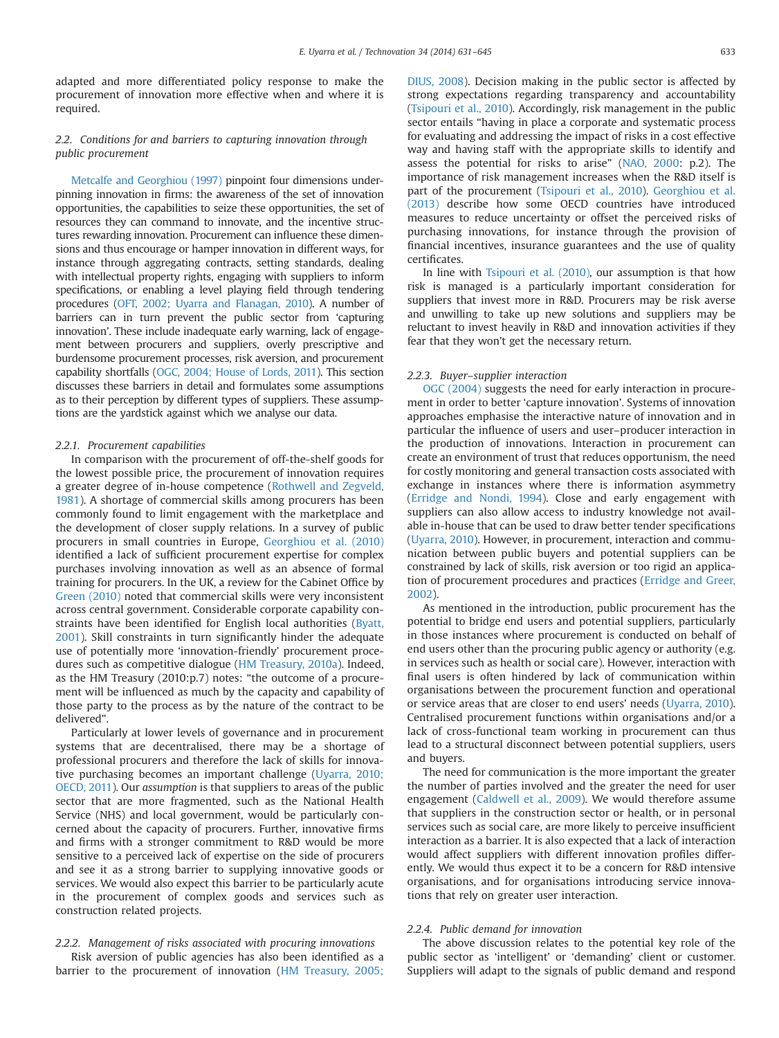adapted and more differentiated policy response to make the procurement of innovation more effective when and where it is required.

# 2.2. Conditions for and barriers to capturing innovation through public procurement

[Metcalfe and Georghiou \(1997\)](#page-14-0) pinpoint four dimensions underpinning innovation in firms: the awareness of the set of innovation opportunities, the capabilities to seize these opportunities, the set of resources they can command to innovate, and the incentive structures rewarding innovation. Procurement can influence these dimensions and thus encourage or hamper innovation in different ways, for instance through aggregating contracts, setting standards, dealing with intellectual property rights, engaging with suppliers to inform specifications, or enabling a level playing field through tendering procedures ([OFT, 2002; Uyarra and Flanagan, 2010\)](#page-14-0). A number of barriers can in turn prevent the public sector from 'capturing innovation'. These include inadequate early warning, lack of engagement between procurers and suppliers, overly prescriptive and burdensome procurement processes, risk aversion, and procurement capability shortfalls ([OGC, 2004; House of Lords, 2011](#page-14-0)). This section discusses these barriers in detail and formulates some assumptions as to their perception by different types of suppliers. These assumptions are the yardstick against which we analyse our data.

# 2.2.1. Procurement capabilities

In comparison with the procurement of off-the-shelf goods for the lowest possible price, the procurement of innovation requires a greater degree of in-house competence ([Rothwell and Zegveld,](#page-14-0) [1981](#page-14-0)). A shortage of commercial skills among procurers has been commonly found to limit engagement with the marketplace and the development of closer supply relations. In a survey of public procurers in small countries in Europe, [Georghiou et al. \(2010\)](#page-14-0) identified a lack of sufficient procurement expertise for complex purchases involving innovation as well as an absence of formal training for procurers. In the UK, a review for the Cabinet Office by [Green \(2010\)](#page-14-0) noted that commercial skills were very inconsistent across central government. Considerable corporate capability constraints have been identified for English local authorities [\(Byatt,](#page-14-0) [2001\)](#page-14-0). Skill constraints in turn significantly hinder the adequate use of potentially more 'innovation-friendly' procurement procedures such as competitive dialogue [\(HM Treasury, 2010a](#page-14-0)). Indeed, as the HM Treasury (2010:p.7) notes: "the outcome of a procurement will be influenced as much by the capacity and capability of those party to the process as by the nature of the contract to be delivered".

Particularly at lower levels of governance and in procurement systems that are decentralised, there may be a shortage of professional procurers and therefore the lack of skills for innovative purchasing becomes an important challenge [\(Uyarra, 2010;](#page-14-0) [OECD, 2011\)](#page-14-0). Our assumption is that suppliers to areas of the public sector that are more fragmented, such as the National Health Service (NHS) and local government, would be particularly concerned about the capacity of procurers. Further, innovative firms and firms with a stronger commitment to R&D would be more sensitive to a perceived lack of expertise on the side of procurers and see it as a strong barrier to supplying innovative goods or services. We would also expect this barrier to be particularly acute in the procurement of complex goods and services such as construction related projects.

# 2.2.2. Management of risks associated with procuring innovations Risk aversion of public agencies has also been identified as a

barrier to the procurement of innovation ([HM Treasury, 2005;](#page-14-0)

[DIUS, 2008\)](#page-14-0). Decision making in the public sector is affected by strong expectations regarding transparency and accountability ([Tsipouri et al., 2010\)](#page-14-0). Accordingly, risk management in the public sector entails "having in place a corporate and systematic process for evaluating and addressing the impact of risks in a cost effective way and having staff with the appropriate skills to identify and assess the potential for risks to arise" [\(NAO, 2000](#page-14-0): p.2). The importance of risk management increases when the R&D itself is part of the procurement ([Tsipouri et al., 2010](#page-14-0)). [Georghiou et al.](#page-14-0) [\(2013\)](#page-14-0) describe how some OECD countries have introduced measures to reduce uncertainty or offset the perceived risks of purchasing innovations, for instance through the provision of financial incentives, insurance guarantees and the use of quality certificates.

In line with [Tsipouri et al. \(2010\),](#page-14-0) our assumption is that how risk is managed is a particularly important consideration for suppliers that invest more in R&D. Procurers may be risk averse and unwilling to take up new solutions and suppliers may be reluctant to invest heavily in R&D and innovation activities if they fear that they won't get the necessary return.

# 2.2.3. Buyer–supplier interaction

[OGC \(2004\)](#page-14-0) suggests the need for early interaction in procurement in order to better 'capture innovation'. Systems of innovation approaches emphasise the interactive nature of innovation and in particular the influence of users and user–producer interaction in the production of innovations. Interaction in procurement can create an environment of trust that reduces opportunism, the need for costly monitoring and general transaction costs associated with exchange in instances where there is information asymmetry ([Erridge and Nondi, 1994\)](#page-14-0). Close and early engagement with suppliers can also allow access to industry knowledge not available in-house that can be used to draw better tender specifications ([Uyarra, 2010](#page-14-0)). However, in procurement, interaction and communication between public buyers and potential suppliers can be constrained by lack of skills, risk aversion or too rigid an application of procurement procedures and practices ([Erridge and Greer,](#page-14-0) [2002\)](#page-14-0).

As mentioned in the introduction, public procurement has the potential to bridge end users and potential suppliers, particularly in those instances where procurement is conducted on behalf of end users other than the procuring public agency or authority (e.g. in services such as health or social care). However, interaction with final users is often hindered by lack of communication within organisations between the procurement function and operational or service areas that are closer to end users' needs ([Uyarra, 2010\)](#page-14-0). Centralised procurement functions within organisations and/or a lack of cross-functional team working in procurement can thus lead to a structural disconnect between potential suppliers, users and buyers.

The need for communication is the more important the greater the number of parties involved and the greater the need for user engagement ([Caldwell et al., 2009](#page-14-0)). We would therefore assume that suppliers in the construction sector or health, or in personal services such as social care, are more likely to perceive insufficient interaction as a barrier. It is also expected that a lack of interaction would affect suppliers with different innovation profiles differently. We would thus expect it to be a concern for R&D intensive organisations, and for organisations introducing service innovations that rely on greater user interaction.

# 2.2.4. Public demand for innovation

The above discussion relates to the potential key role of the public sector as 'intelligent' or 'demanding' client or customer. Suppliers will adapt to the signals of public demand and respond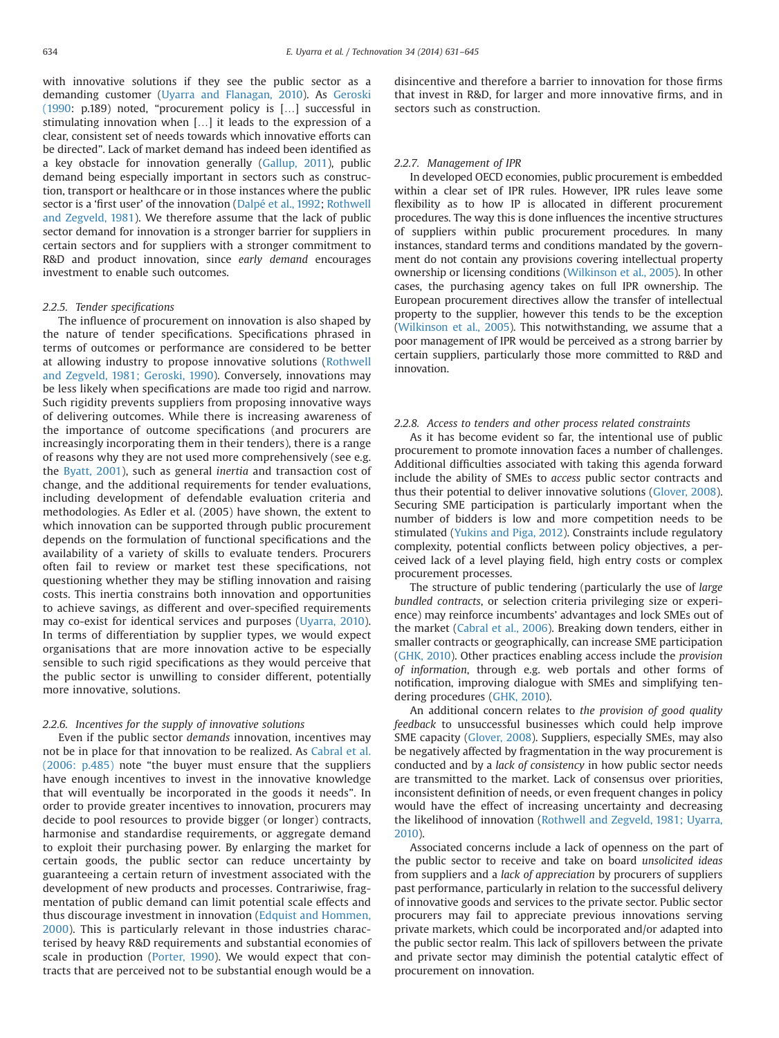with innovative solutions if they see the public sector as a demanding customer ([Uyarra and Flanagan, 2010](#page-14-0)). As [Geroski](#page-14-0) [\(1990](#page-14-0): p.189) noted, "procurement policy is […] successful in stimulating innovation when […] it leads to the expression of a clear, consistent set of needs towards which innovative efforts can be directed". Lack of market demand has indeed been identified as a key obstacle for innovation generally ([Gallup, 2011](#page-14-0)), public demand being especially important in sectors such as construction, transport or healthcare or in those instances where the public sector is a 'first user' of the innovation [\(Dalpé et al., 1992](#page-14-0); [Rothwell](#page-14-0) [and Zegveld, 1981\)](#page-14-0). We therefore assume that the lack of public sector demand for innovation is a stronger barrier for suppliers in certain sectors and for suppliers with a stronger commitment to R&D and product innovation, since early demand encourages investment to enable such outcomes.

# 2.2.5. Tender specifications

The influence of procurement on innovation is also shaped by the nature of tender specifications. Specifications phrased in terms of outcomes or performance are considered to be better at allowing industry to propose innovative solutions ([Rothwell](#page-14-0) [and Zegveld, 1981; Geroski, 1990](#page-14-0)). Conversely, innovations may be less likely when specifications are made too rigid and narrow. Such rigidity prevents suppliers from proposing innovative ways of delivering outcomes. While there is increasing awareness of the importance of outcome specifications (and procurers are increasingly incorporating them in their tenders), there is a range of reasons why they are not used more comprehensively (see e.g. the [Byatt, 2001](#page-14-0)), such as general inertia and transaction cost of change, and the additional requirements for tender evaluations, including development of defendable evaluation criteria and methodologies. As Edler et al. (2005) have shown, the extent to which innovation can be supported through public procurement depends on the formulation of functional specifications and the availability of a variety of skills to evaluate tenders. Procurers often fail to review or market test these specifications, not questioning whether they may be stifling innovation and raising costs. This inertia constrains both innovation and opportunities to achieve savings, as different and over-specified requirements may co-exist for identical services and purposes [\(Uyarra, 2010\)](#page-14-0). In terms of differentiation by supplier types, we would expect organisations that are more innovation active to be especially sensible to such rigid specifications as they would perceive that the public sector is unwilling to consider different, potentially more innovative, solutions.

### 2.2.6. Incentives for the supply of innovative solutions

Even if the public sector demands innovation, incentives may not be in place for that innovation to be realized. As [Cabral et al.](#page-14-0) [\(2006: p.485\)](#page-14-0) note "the buyer must ensure that the suppliers have enough incentives to invest in the innovative knowledge that will eventually be incorporated in the goods it needs". In order to provide greater incentives to innovation, procurers may decide to pool resources to provide bigger (or longer) contracts, harmonise and standardise requirements, or aggregate demand to exploit their purchasing power. By enlarging the market for certain goods, the public sector can reduce uncertainty by guaranteeing a certain return of investment associated with the development of new products and processes. Contrariwise, fragmentation of public demand can limit potential scale effects and thus discourage investment in innovation [\(Edquist and Hommen,](#page-14-0) [2000\)](#page-14-0). This is particularly relevant in those industries characterised by heavy R&D requirements and substantial economies of scale in production [\(Porter, 1990\)](#page-14-0). We would expect that contracts that are perceived not to be substantial enough would be a disincentive and therefore a barrier to innovation for those firms that invest in R&D, for larger and more innovative firms, and in sectors such as construction.

# 2.2.7. Management of IPR

In developed OECD economies, public procurement is embedded within a clear set of IPR rules. However, IPR rules leave some flexibility as to how IP is allocated in different procurement procedures. The way this is done influences the incentive structures of suppliers within public procurement procedures. In many instances, standard terms and conditions mandated by the government do not contain any provisions covering intellectual property ownership or licensing conditions ([Wilkinson et al., 2005\)](#page-14-0). In other cases, the purchasing agency takes on full IPR ownership. The European procurement directives allow the transfer of intellectual property to the supplier, however this tends to be the exception ([Wilkinson et al., 2005\)](#page-14-0). This notwithstanding, we assume that a poor management of IPR would be perceived as a strong barrier by certain suppliers, particularly those more committed to R&D and innovation.

## 2.2.8. Access to tenders and other process related constraints

As it has become evident so far, the intentional use of public procurement to promote innovation faces a number of challenges. Additional difficulties associated with taking this agenda forward include the ability of SMEs to access public sector contracts and thus their potential to deliver innovative solutions ([Glover, 2008\)](#page-14-0). Securing SME participation is particularly important when the number of bidders is low and more competition needs to be stimulated ([Yukins and Piga, 2012\)](#page-14-0). Constraints include regulatory complexity, potential conflicts between policy objectives, a perceived lack of a level playing field, high entry costs or complex procurement processes.

The structure of public tendering (particularly the use of large bundled contracts, or selection criteria privileging size or experience) may reinforce incumbents' advantages and lock SMEs out of the market ([Cabral et al., 2006\)](#page-14-0). Breaking down tenders, either in smaller contracts or geographically, can increase SME participation ([GHK, 2010\)](#page-14-0). Other practices enabling access include the provision of information, through e.g. web portals and other forms of notification, improving dialogue with SMEs and simplifying tendering procedures ([GHK, 2010](#page-14-0)).

An additional concern relates to the provision of good quality feedback to unsuccessful businesses which could help improve SME capacity [\(Glover, 2008](#page-14-0)). Suppliers, especially SMEs, may also be negatively affected by fragmentation in the way procurement is conducted and by a lack of consistency in how public sector needs are transmitted to the market. Lack of consensus over priorities, inconsistent definition of needs, or even frequent changes in policy would have the effect of increasing uncertainty and decreasing the likelihood of innovation [\(Rothwell and Zegveld, 1981; Uyarra,](#page-14-0) [2010\)](#page-14-0).

Associated concerns include a lack of openness on the part of the public sector to receive and take on board unsolicited ideas from suppliers and a lack of appreciation by procurers of suppliers past performance, particularly in relation to the successful delivery of innovative goods and services to the private sector. Public sector procurers may fail to appreciate previous innovations serving private markets, which could be incorporated and/or adapted into the public sector realm. This lack of spillovers between the private and private sector may diminish the potential catalytic effect of procurement on innovation.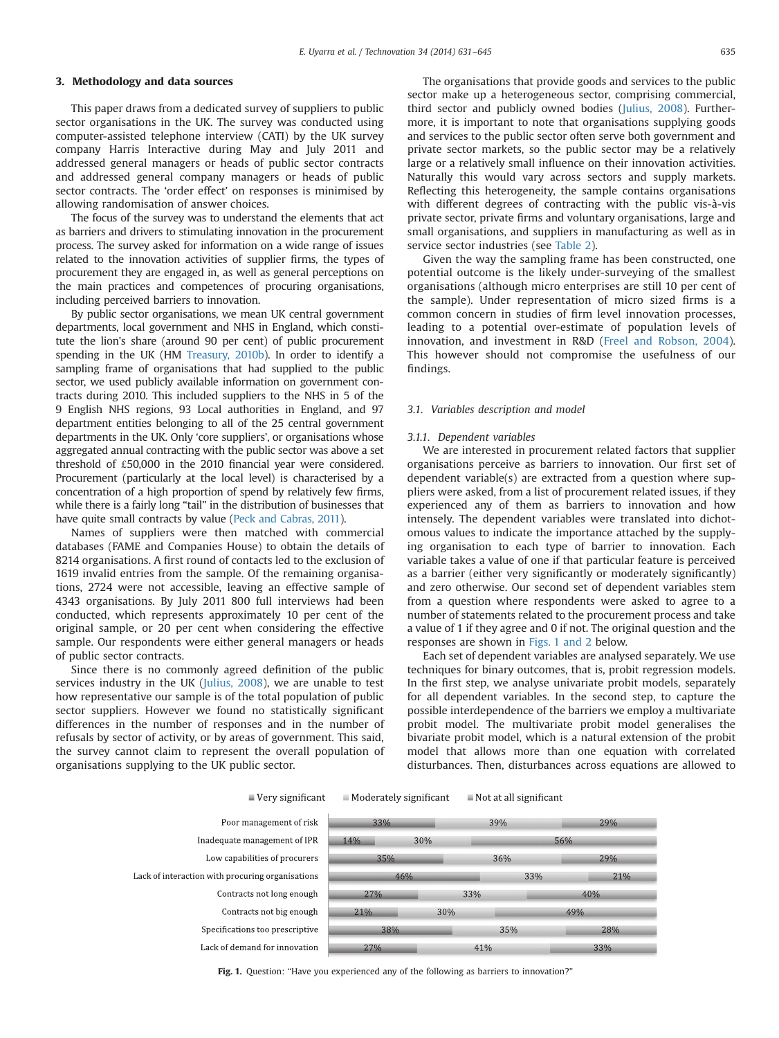# <span id="page-4-0"></span>3. Methodology and data sources

This paper draws from a dedicated survey of suppliers to public sector organisations in the UK. The survey was conducted using computer-assisted telephone interview (CATI) by the UK survey company Harris Interactive during May and July 2011 and addressed general managers or heads of public sector contracts and addressed general company managers or heads of public sector contracts. The 'order effect' on responses is minimised by allowing randomisation of answer choices.

The focus of the survey was to understand the elements that act as barriers and drivers to stimulating innovation in the procurement process. The survey asked for information on a wide range of issues related to the innovation activities of supplier firms, the types of procurement they are engaged in, as well as general perceptions on the main practices and competences of procuring organisations, including perceived barriers to innovation.

By public sector organisations, we mean UK central government departments, local government and NHS in England, which constitute the lion's share (around 90 per cent) of public procurement spending in the UK (HM [Treasury, 2010b\)](#page-14-0). In order to identify a sampling frame of organisations that had supplied to the public sector, we used publicly available information on government contracts during 2010. This included suppliers to the NHS in 5 of the 9 English NHS regions, 93 Local authorities in England, and 97 department entities belonging to all of the 25 central government departments in the UK. Only 'core suppliers', or organisations whose aggregated annual contracting with the public sector was above a set threshold of  $£50,000$  in the 2010 financial year were considered. Procurement (particularly at the local level) is characterised by a concentration of a high proportion of spend by relatively few firms, while there is a fairly long "tail" in the distribution of businesses that have quite small contracts by value [\(Peck and Cabras, 2011](#page-14-0)).

Names of suppliers were then matched with commercial databases (FAME and Companies House) to obtain the details of 8214 organisations. A first round of contacts led to the exclusion of 1619 invalid entries from the sample. Of the remaining organisations, 2724 were not accessible, leaving an effective sample of 4343 organisations. By July 2011 800 full interviews had been conducted, which represents approximately 10 per cent of the original sample, or 20 per cent when considering the effective sample. Our respondents were either general managers or heads of public sector contracts.

Since there is no commonly agreed definition of the public services industry in the UK ([Julius, 2008](#page-14-0)), we are unable to test how representative our sample is of the total population of public sector suppliers. However we found no statistically significant differences in the number of responses and in the number of refusals by sector of activity, or by areas of government. This said, the survey cannot claim to represent the overall population of organisations supplying to the UK public sector.

The organisations that provide goods and services to the public sector make up a heterogeneous sector, comprising commercial, third sector and publicly owned bodies [\(Julius, 2008](#page-14-0)). Furthermore, it is important to note that organisations supplying goods and services to the public sector often serve both government and private sector markets, so the public sector may be a relatively large or a relatively small influence on their innovation activities. Naturally this would vary across sectors and supply markets. Reflecting this heterogeneity, the sample contains organisations with different degrees of contracting with the public vis-à-vis private sector, private firms and voluntary organisations, large and small organisations, and suppliers in manufacturing as well as in service sector industries (see [Table 2](#page-7-0)).

Given the way the sampling frame has been constructed, one potential outcome is the likely under-surveying of the smallest organisations (although micro enterprises are still 10 per cent of the sample). Under representation of micro sized firms is a common concern in studies of firm level innovation processes, leading to a potential over-estimate of population levels of innovation, and investment in R&D ([Freel and Robson, 2004\)](#page-14-0). This however should not compromise the usefulness of our findings.

# 3.1. Variables description and model

### 3.1.1. Dependent variables

We are interested in procurement related factors that supplier organisations perceive as barriers to innovation. Our first set of dependent variable(s) are extracted from a question where suppliers were asked, from a list of procurement related issues, if they experienced any of them as barriers to innovation and how intensely. The dependent variables were translated into dichotomous values to indicate the importance attached by the supplying organisation to each type of barrier to innovation. Each variable takes a value of one if that particular feature is perceived as a barrier (either very significantly or moderately significantly) and zero otherwise. Our second set of dependent variables stem from a question where respondents were asked to agree to a number of statements related to the procurement process and take a value of 1 if they agree and 0 if not. The original question and the responses are shown in [Figs. 1 and 2](#page-5-0) below.

Each set of dependent variables are analysed separately. We use techniques for binary outcomes, that is, probit regression models. In the first step, we analyse univariate probit models, separately for all dependent variables. In the second step, to capture the possible interdependence of the barriers we employ a multivariate probit model. The multivariate probit model generalises the bivariate probit model, which is a natural extension of the probit model that allows more than one equation with correlated disturbances. Then, disturbances across equations are allowed to



 $\blacksquare$  Very significant  $\blacksquare$  Moderately significant  $\blacksquare$  Not at all significant

Fig. 1. Question: "Have you experienced any of the following as barriers to innovation?"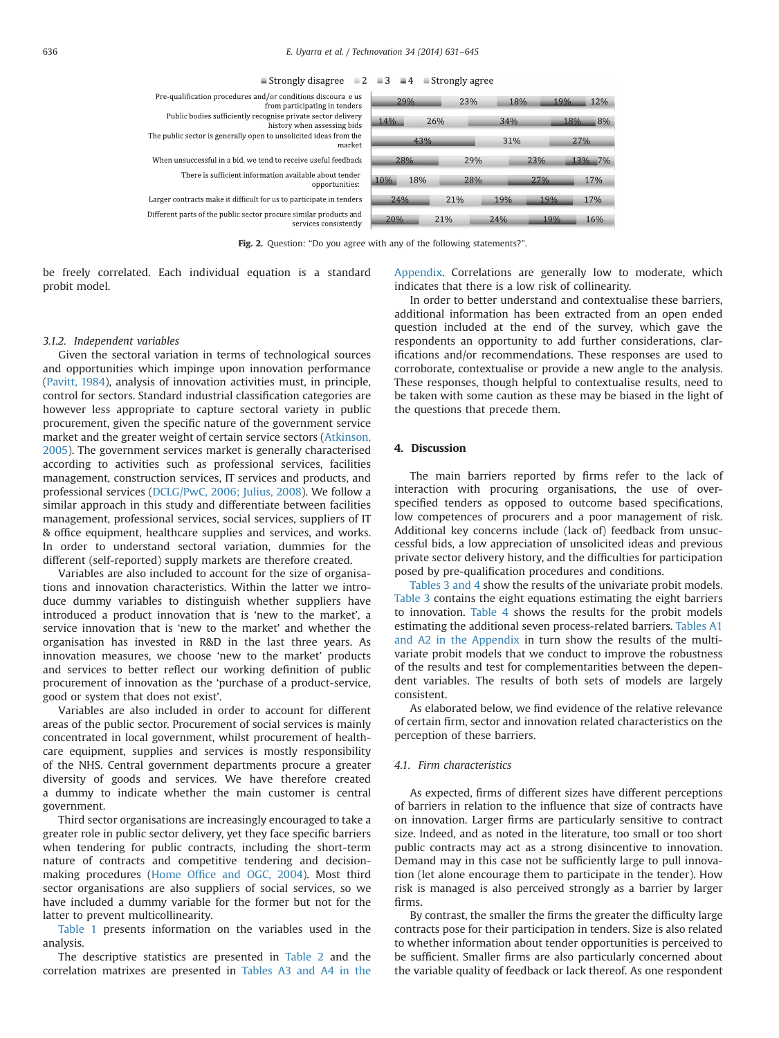<span id="page-5-0"></span>

| $=$ 3 to 0 iighty disagree $=$ $\mu$ $=$ $\mu$ $=$ $\mu$ $=$ $\sigma$ $=$ $\sigma$ $\mu$ $\sigma$ $\sigma$ $\sigma$ |            |     |     |     |     |
|---------------------------------------------------------------------------------------------------------------------|------------|-----|-----|-----|-----|
| Pre-qualification procedures and/or conditions discoura e us<br>from participating in tenders                       | 29%        | 23% | 18% | 19% | 12% |
| Public bodies sufficiently recognise private sector delivery<br>history when assessing bids                         | 14%        | 26% | 34% | 18% | 8%  |
| The public sector is generally open to unsolicited ideas from the<br>market                                         | 43%        |     | 31% | 27% |     |
| When unsuccessful in a bid, we tend to receive useful feedback                                                      | 28%        | 29% | 23% | 13% | 7%  |
| There is sufficient information available about tender<br>opportunities:                                            | 18%<br>10% | 28% | 27% |     | 17% |
| Larger contracts make it difficult for us to participate in tenders                                                 | 24%        | 21% | 19% | 19% | 17% |
| Different parts of the public sector procure similar products and<br>services consistently                          | 20%        | 21% | 24% | 19% | 16% |

Fig. 2. Question: "Do you agree with any of the following statements?".

be freely correlated. Each individual equation is a standard probit model.

# [Appendix](#page-10-0). Correlations are generally low to moderate, which indicates that there is a low risk of collinearity.

#### 3.1.2. Independent variables

Given the sectoral variation in terms of technological sources and opportunities which impinge upon innovation performance ([Pavitt, 1984](#page-14-0)), analysis of innovation activities must, in principle, control for sectors. Standard industrial classification categories are however less appropriate to capture sectoral variety in public procurement, given the specific nature of the government service market and the greater weight of certain service sectors [\(Atkinson,](#page-14-0) [2005\)](#page-14-0). The government services market is generally characterised according to activities such as professional services, facilities management, construction services, IT services and products, and professional services ([DCLG/PwC, 2006; Julius, 2008\)](#page-14-0). We follow a similar approach in this study and differentiate between facilities management, professional services, social services, suppliers of IT & office equipment, healthcare supplies and services, and works. In order to understand sectoral variation, dummies for the different (self-reported) supply markets are therefore created.

Variables are also included to account for the size of organisations and innovation characteristics. Within the latter we introduce dummy variables to distinguish whether suppliers have introduced a product innovation that is 'new to the market', a service innovation that is 'new to the market' and whether the organisation has invested in R&D in the last three years. As innovation measures, we choose 'new to the market' products and services to better reflect our working definition of public procurement of innovation as the 'purchase of a product-service, good or system that does not exist'.

Variables are also included in order to account for different areas of the public sector. Procurement of social services is mainly concentrated in local government, whilst procurement of healthcare equipment, supplies and services is mostly responsibility of the NHS. Central government departments procure a greater diversity of goods and services. We have therefore created a dummy to indicate whether the main customer is central government.

Third sector organisations are increasingly encouraged to take a greater role in public sector delivery, yet they face specific barriers when tendering for public contracts, including the short-term nature of contracts and competitive tendering and decisionmaking procedures (Home Offi[ce and OGC, 2004\)](#page-14-0). Most third sector organisations are also suppliers of social services, so we have included a dummy variable for the former but not for the latter to prevent multicollinearity.

[Table 1](#page-6-0) presents information on the variables used in the analysis.

The descriptive statistics are presented in [Table 2](#page-7-0) and the correlation matrixes are presented in [Tables A3 and A4 in the](#page-10-0)

In order to better understand and contextualise these barriers, additional information has been extracted from an open ended question included at the end of the survey, which gave the respondents an opportunity to add further considerations, clarifications and/or recommendations. These responses are used to corroborate, contextualise or provide a new angle to the analysis. These responses, though helpful to contextualise results, need to be taken with some caution as these may be biased in the light of the questions that precede them.

# 4. Discussion

The main barriers reported by firms refer to the lack of interaction with procuring organisations, the use of overspecified tenders as opposed to outcome based specifications, low competences of procurers and a poor management of risk. Additional key concerns include (lack of) feedback from unsuccessful bids, a low appreciation of unsolicited ideas and previous private sector delivery history, and the difficulties for participation posed by pre-qualification procedures and conditions.

[Tables 3 and 4](#page-9-0) show the results of the univariate probit models. [Table 3](#page-8-0) contains the eight equations estimating the eight barriers to innovation. [Table 4](#page-9-0) shows the results for the probit models estimating the additional seven process-related barriers. [Tables A1](#page-10-0) [and A2 in the Appendix](#page-10-0) in turn show the results of the multivariate probit models that we conduct to improve the robustness of the results and test for complementarities between the dependent variables. The results of both sets of models are largely consistent.

As elaborated below, we find evidence of the relative relevance of certain firm, sector and innovation related characteristics on the perception of these barriers.

# 4.1. Firm characteristics

As expected, firms of different sizes have different perceptions of barriers in relation to the influence that size of contracts have on innovation. Larger firms are particularly sensitive to contract size. Indeed, and as noted in the literature, too small or too short public contracts may act as a strong disincentive to innovation. Demand may in this case not be sufficiently large to pull innovation (let alone encourage them to participate in the tender). How risk is managed is also perceived strongly as a barrier by larger firms.

By contrast, the smaller the firms the greater the difficulty large contracts pose for their participation in tenders. Size is also related to whether information about tender opportunities is perceived to be sufficient. Smaller firms are also particularly concerned about the variable quality of feedback or lack thereof. As one respondent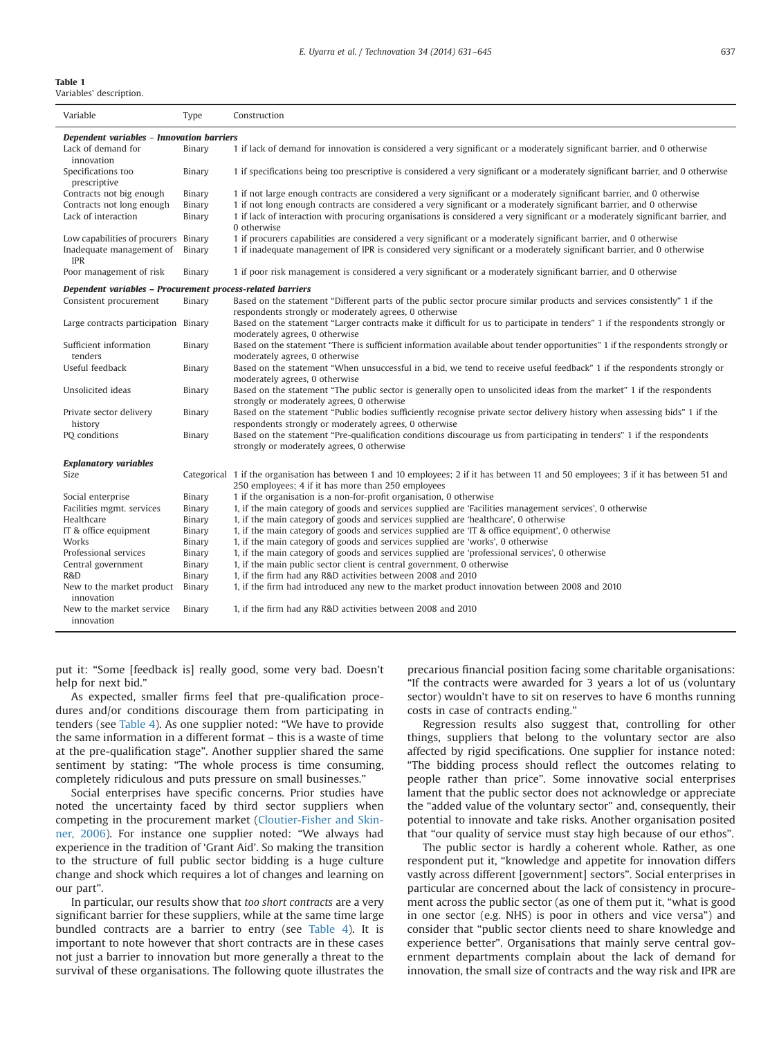# <span id="page-6-0"></span>Table 1

Variables' description.

| Variable                                                   | Type   | Construction                                                                                                                                                                                                                                             |
|------------------------------------------------------------|--------|----------------------------------------------------------------------------------------------------------------------------------------------------------------------------------------------------------------------------------------------------------|
| Dependent variables - Innovation barriers                  |        |                                                                                                                                                                                                                                                          |
| Lack of demand for<br>innovation                           | Binary | 1 if lack of demand for innovation is considered a very significant or a moderately significant barrier, and 0 otherwise                                                                                                                                 |
| Specifications too<br>prescriptive                         | Binary | 1 if specifications being too prescriptive is considered a very significant or a moderately significant barrier, and 0 otherwise                                                                                                                         |
| Contracts not big enough                                   | Binary | 1 if not large enough contracts are considered a very significant or a moderately significant barrier, and 0 otherwise                                                                                                                                   |
| Contracts not long enough<br>Lack of interaction           | Binary | 1 if not long enough contracts are considered a very significant or a moderately significant barrier, and 0 otherwise<br>1 if lack of interaction with procuring organisations is considered a very significant or a moderately significant barrier, and |
|                                                            | Binary | 0 otherwise                                                                                                                                                                                                                                              |
| Low capabilities of procurers Binary                       |        | 1 if procurers capabilities are considered a very significant or a moderately significant barrier, and 0 otherwise                                                                                                                                       |
| Inadequate management of<br><b>IPR</b>                     | Binary | 1 if inadequate management of IPR is considered very significant or a moderately significant barrier, and 0 otherwise                                                                                                                                    |
| Poor management of risk                                    | Binary | 1 if poor risk management is considered a very significant or a moderately significant barrier, and 0 otherwise                                                                                                                                          |
| Dependent variables - Procurement process-related barriers |        |                                                                                                                                                                                                                                                          |
| Consistent procurement                                     | Binary | Based on the statement "Different parts of the public sector procure similar products and services consistently" 1 if the<br>respondents strongly or moderately agrees, 0 otherwise                                                                      |
| Large contracts participation Binary                       |        | Based on the statement "Larger contracts make it difficult for us to participate in tenders" 1 if the respondents strongly or<br>moderately agrees, 0 otherwise                                                                                          |
| Sufficient information<br>tenders                          | Binary | Based on the statement "There is sufficient information available about tender opportunities" 1 if the respondents strongly or<br>moderately agrees, 0 otherwise                                                                                         |
| Useful feedback                                            | Binary | Based on the statement "When unsuccessful in a bid, we tend to receive useful feedback" 1 if the respondents strongly or<br>moderately agrees, 0 otherwise                                                                                               |
| Unsolicited ideas                                          | Binary | Based on the statement "The public sector is generally open to unsolicited ideas from the market" 1 if the respondents<br>strongly or moderately agrees, 0 otherwise                                                                                     |
| Private sector delivery<br>history                         | Binary | Based on the statement "Public bodies sufficiently recognise private sector delivery history when assessing bids" 1 if the<br>respondents strongly or moderately agrees, 0 otherwise                                                                     |
| PO conditions                                              | Binary | Based on the statement "Pre-qualification conditions discourage us from participating in tenders" 1 if the respondents<br>strongly or moderately agrees, 0 otherwise                                                                                     |
| <b>Explanatory variables</b>                               |        |                                                                                                                                                                                                                                                          |
| Size                                                       |        | Categorical 1 if the organisation has between 1 and 10 employees; 2 if it has between 11 and 50 employees; 3 if it has between 51 and<br>250 employees; 4 if it has more than 250 employees                                                              |
| Social enterprise                                          | Binary | 1 if the organisation is a non-for-profit organisation, 0 otherwise                                                                                                                                                                                      |
| Facilities mgmt. services                                  | Binary | 1, if the main category of goods and services supplied are 'Facilities management services', 0 otherwise                                                                                                                                                 |
| Healthcare                                                 | Binary | 1, if the main category of goods and services supplied are 'healthcare', 0 otherwise                                                                                                                                                                     |
| IT & office equipment                                      | Binary | 1, if the main category of goods and services supplied are 'IT & office equipment', 0 otherwise                                                                                                                                                          |
| Works                                                      | Binary | 1, if the main category of goods and services supplied are 'works', 0 otherwise                                                                                                                                                                          |
| Professional services                                      | Binary | 1, if the main category of goods and services supplied are 'professional services', 0 otherwise                                                                                                                                                          |
| Central government                                         | Binary | 1, if the main public sector client is central government, 0 otherwise                                                                                                                                                                                   |
| R&D                                                        | Binary | 1, if the firm had any R&D activities between 2008 and 2010                                                                                                                                                                                              |
| New to the market product<br>innovation                    | Binary | 1, if the firm had introduced any new to the market product innovation between 2008 and 2010                                                                                                                                                             |
| New to the market service<br>innovation                    | Binary | 1, if the firm had any R&D activities between 2008 and 2010                                                                                                                                                                                              |

put it: "Some [feedback is] really good, some very bad. Doesn't help for next bid."

As expected, smaller firms feel that pre-qualification procedures and/or conditions discourage them from participating in tenders (see [Table 4\)](#page-9-0). As one supplier noted: "We have to provide the same information in a different format – this is a waste of time at the pre-qualification stage". Another supplier shared the same sentiment by stating: "The whole process is time consuming, completely ridiculous and puts pressure on small businesses."

Social enterprises have specific concerns. Prior studies have noted the uncertainty faced by third sector suppliers when competing in the procurement market ([Cloutier-Fisher and Skin](#page-14-0)[ner, 2006\)](#page-14-0). For instance one supplier noted: "We always had experience in the tradition of 'Grant Aid'. So making the transition to the structure of full public sector bidding is a huge culture change and shock which requires a lot of changes and learning on our part".

In particular, our results show that too short contracts are a very significant barrier for these suppliers, while at the same time large bundled contracts are a barrier to entry (see [Table 4](#page-9-0)). It is important to note however that short contracts are in these cases not just a barrier to innovation but more generally a threat to the survival of these organisations. The following quote illustrates the

precarious financial position facing some charitable organisations: "If the contracts were awarded for 3 years a lot of us (voluntary sector) wouldn't have to sit on reserves to have 6 months running costs in case of contracts ending."

Regression results also suggest that, controlling for other things, suppliers that belong to the voluntary sector are also affected by rigid specifications. One supplier for instance noted: "The bidding process should reflect the outcomes relating to people rather than price". Some innovative social enterprises lament that the public sector does not acknowledge or appreciate the "added value of the voluntary sector" and, consequently, their potential to innovate and take risks. Another organisation posited that "our quality of service must stay high because of our ethos".

The public sector is hardly a coherent whole. Rather, as one respondent put it, "knowledge and appetite for innovation differs vastly across different [government] sectors". Social enterprises in particular are concerned about the lack of consistency in procurement across the public sector (as one of them put it, "what is good in one sector (e.g. NHS) is poor in others and vice versa") and consider that "public sector clients need to share knowledge and experience better". Organisations that mainly serve central government departments complain about the lack of demand for innovation, the small size of contracts and the way risk and IPR are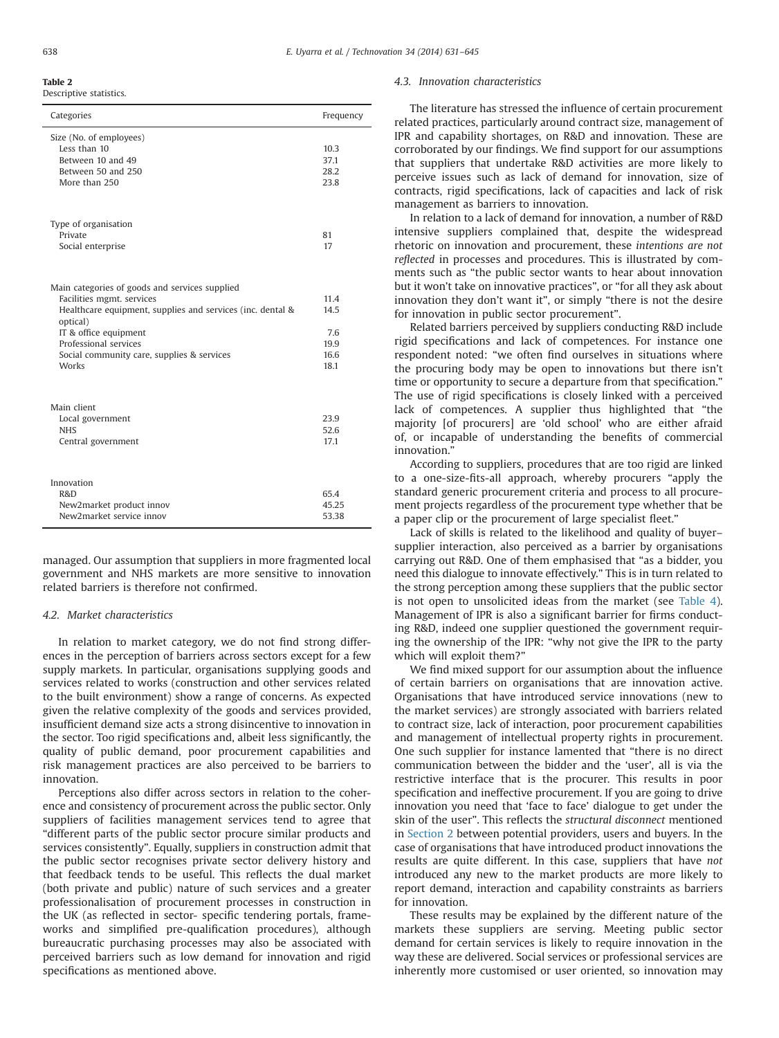#### <span id="page-7-0"></span>Table 2 Descriptive statistics.

| Descriptive statistics. |  |
|-------------------------|--|
|-------------------------|--|

| Categories                                                                                                                                                                                                                                                            | Frequency                                   |
|-----------------------------------------------------------------------------------------------------------------------------------------------------------------------------------------------------------------------------------------------------------------------|---------------------------------------------|
| Size (No. of employees)<br>Less than 10<br>Between 10 and 49<br>Between 50 and 250<br>More than 250                                                                                                                                                                   | 10.3<br>37.1<br>28.2<br>23.8                |
| Type of organisation<br>Private<br>Social enterprise                                                                                                                                                                                                                  | 81<br>17                                    |
| Main categories of goods and services supplied<br>Facilities mgmt. services<br>Healthcare equipment, supplies and services (inc. dental &<br>optical)<br>IT & office equipment<br>Professional services<br>Social community care, supplies & services<br><b>Works</b> | 11.4<br>14.5<br>7.6<br>19.9<br>16.6<br>18.1 |
| Main client<br>Local government<br><b>NHS</b><br>Central government                                                                                                                                                                                                   | 23.9<br>52.6<br>17.1                        |
| Innovation<br>R&D<br>New2market product innov<br>New2market service innov                                                                                                                                                                                             | 65.4<br>45.25<br>53.38                      |

managed. Our assumption that suppliers in more fragmented local government and NHS markets are more sensitive to innovation related barriers is therefore not confirmed.

## 4.2. Market characteristics

In relation to market category, we do not find strong differences in the perception of barriers across sectors except for a few supply markets. In particular, organisations supplying goods and services related to works (construction and other services related to the built environment) show a range of concerns. As expected given the relative complexity of the goods and services provided, insufficient demand size acts a strong disincentive to innovation in the sector. Too rigid specifications and, albeit less significantly, the quality of public demand, poor procurement capabilities and risk management practices are also perceived to be barriers to innovation.

Perceptions also differ across sectors in relation to the coherence and consistency of procurement across the public sector. Only suppliers of facilities management services tend to agree that "different parts of the public sector procure similar products and services consistently". Equally, suppliers in construction admit that the public sector recognises private sector delivery history and that feedback tends to be useful. This reflects the dual market (both private and public) nature of such services and a greater professionalisation of procurement processes in construction in the UK (as reflected in sector- specific tendering portals, frameworks and simplified pre-qualification procedures), although bureaucratic purchasing processes may also be associated with perceived barriers such as low demand for innovation and rigid specifications as mentioned above.

# 4.3. Innovation characteristics

The literature has stressed the influence of certain procurement related practices, particularly around contract size, management of IPR and capability shortages, on R&D and innovation. These are corroborated by our findings. We find support for our assumptions that suppliers that undertake R&D activities are more likely to perceive issues such as lack of demand for innovation, size of contracts, rigid specifications, lack of capacities and lack of risk management as barriers to innovation.

In relation to a lack of demand for innovation, a number of R&D intensive suppliers complained that, despite the widespread rhetoric on innovation and procurement, these intentions are not reflected in processes and procedures. This is illustrated by comments such as "the public sector wants to hear about innovation but it won't take on innovative practices", or "for all they ask about innovation they don't want it", or simply "there is not the desire for innovation in public sector procurement".

Related barriers perceived by suppliers conducting R&D include rigid specifications and lack of competences. For instance one respondent noted: "we often find ourselves in situations where the procuring body may be open to innovations but there isn't time or opportunity to secure a departure from that specification." The use of rigid specifications is closely linked with a perceived lack of competences. A supplier thus highlighted that "the majority [of procurers] are 'old school' who are either afraid of, or incapable of understanding the benefits of commercial innovation."

According to suppliers, procedures that are too rigid are linked to a one-size-fits-all approach, whereby procurers "apply the standard generic procurement criteria and process to all procurement projects regardless of the procurement type whether that be a paper clip or the procurement of large specialist fleet."

Lack of skills is related to the likelihood and quality of buyer– supplier interaction, also perceived as a barrier by organisations carrying out R&D. One of them emphasised that "as a bidder, you need this dialogue to innovate effectively." This is in turn related to the strong perception among these suppliers that the public sector is not open to unsolicited ideas from the market (see [Table 4\)](#page-9-0). Management of IPR is also a significant barrier for firms conducting R&D, indeed one supplier questioned the government requiring the ownership of the IPR: "why not give the IPR to the party which will exploit them?"

We find mixed support for our assumption about the influence of certain barriers on organisations that are innovation active. Organisations that have introduced service innovations (new to the market services) are strongly associated with barriers related to contract size, lack of interaction, poor procurement capabilities and management of intellectual property rights in procurement. One such supplier for instance lamented that "there is no direct communication between the bidder and the 'user', all is via the restrictive interface that is the procurer. This results in poor specification and ineffective procurement. If you are going to drive innovation you need that 'face to face' dialogue to get under the skin of the user". This reflects the structural disconnect mentioned in [Section 2](#page-1-0) between potential providers, users and buyers. In the case of organisations that have introduced product innovations the results are quite different. In this case, suppliers that have not introduced any new to the market products are more likely to report demand, interaction and capability constraints as barriers for innovation.

These results may be explained by the different nature of the markets these suppliers are serving. Meeting public sector demand for certain services is likely to require innovation in the way these are delivered. Social services or professional services are inherently more customised or user oriented, so innovation may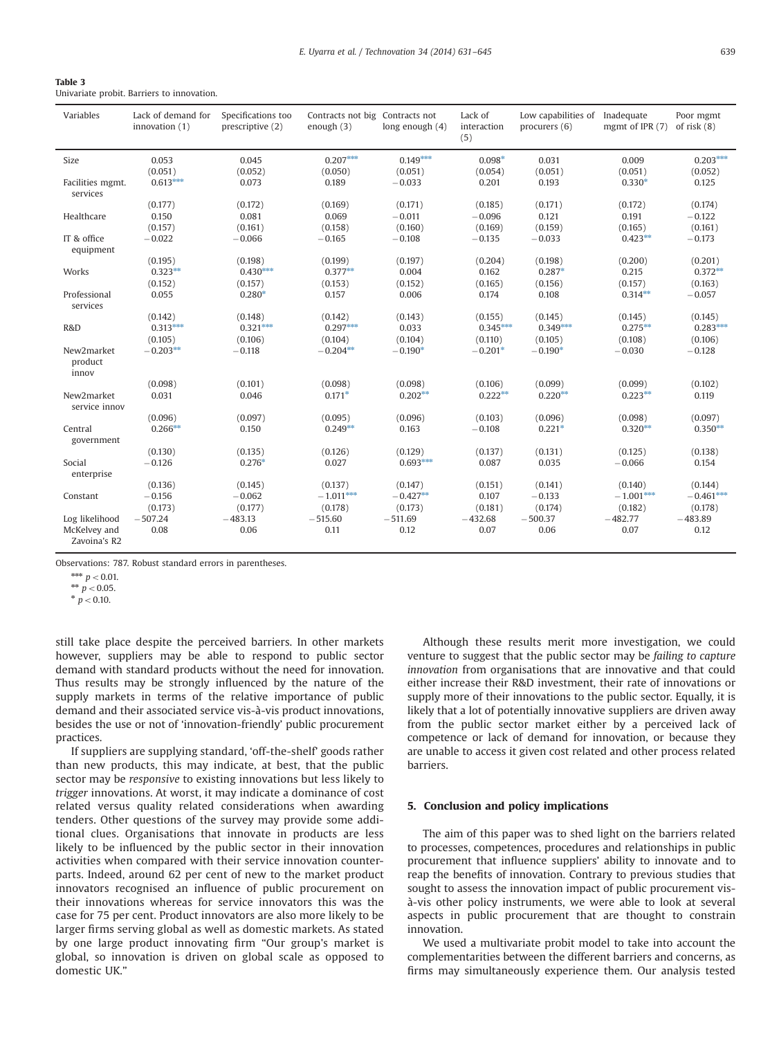<span id="page-8-0"></span>

| Table 3 |  |                                            |
|---------|--|--------------------------------------------|
|         |  | Univariate probit. Barriers to innovation. |

| Variables                      | Lack of demand for<br>innovation (1) | Specifications too<br>prescriptive (2) | Contracts not big Contracts not<br>enough (3) | long enough (4) | Lack of<br>interaction<br>(5) | Low capabilities of<br>procurers (6) | Inadequate<br>mgmt of IPR $(7)$ | Poor mgmt<br>of risk $(8)$ |
|--------------------------------|--------------------------------------|----------------------------------------|-----------------------------------------------|-----------------|-------------------------------|--------------------------------------|---------------------------------|----------------------------|
| Size                           | 0.053                                | 0.045                                  | $0.207***$                                    | $0.149***$      | $0.098*$                      | 0.031                                | 0.009                           | $0.203***$                 |
|                                | (0.051)                              | (0.052)                                | (0.050)                                       | (0.051)         | (0.054)                       | (0.051)                              | (0.051)                         | (0.052)                    |
| Facilities mgmt.<br>services   | $0.613***$                           | 0.073                                  | 0.189                                         | $-0.033$        | 0.201                         | 0.193                                | $0.330*$                        | 0.125                      |
|                                | (0.177)                              | (0.172)                                | (0.169)                                       | (0.171)         | (0.185)                       | (0.171)                              | (0.172)                         | (0.174)                    |
| Healthcare                     | 0.150                                | 0.081                                  | 0.069                                         | $-0.011$        | $-0.096$                      | 0.121                                | 0.191                           | $-0.122$                   |
|                                | (0.157)                              | (0.161)                                | (0.158)                                       | (0.160)         | (0.169)                       | (0.159)                              | (0.165)                         | (0.161)                    |
| IT & office<br>equipment       | $-0.022$                             | $-0.066$                               | $-0.165$                                      | $-0.108$        | $-0.135$                      | $-0.033$                             | $0.423**$                       | $-0.173$                   |
|                                | (0.195)                              | (0.198)                                | (0.199)                                       | (0.197)         | (0.204)                       | (0.198)                              | (0.200)                         | (0.201)                    |
| Works                          | $0.323**$                            | $0.430***$                             | $0.377***$                                    | 0.004           | 0.162                         | $0.287*$                             | 0.215                           | $0.372***$                 |
|                                | (0.152)                              | (0.157)                                | (0.153)                                       | (0.152)         | (0.165)                       | (0.156)                              | (0.157)                         | (0.163)                    |
| Professional<br>services       | 0.055                                | $0.280*$                               | 0.157                                         | 0.006           | 0.174                         | 0.108                                | $0.314**$                       | $-0.057$                   |
|                                | (0.142)                              | (0.148)                                | (0.142)                                       | (0.143)         | (0.155)                       | (0.145)                              | (0.145)                         | (0.145)                    |
| R&D                            | $0.313***$                           | $0.321***$                             | $0.297***$                                    | 0.033           | $0.345***$                    | $0.349***$                           | $0.275***$                      | $0.283***$                 |
|                                | (0.105)                              | (0.106)                                | (0.104)                                       | (0.104)         | (0.110)                       | (0.105)                              | (0.108)                         | (0.106)                    |
| New2market<br>product<br>innov | $-0.203***$                          | $-0.118$                               | $-0.204**$                                    | $-0.190*$       | $-0.201*$                     | $-0.190*$                            | $-0.030$                        | $-0.128$                   |
|                                | (0.098)                              | (0.101)                                | (0.098)                                       | (0.098)         | (0.106)                       | (0.099)                              | (0.099)                         | (0.102)                    |
| New2market<br>service innov    | 0.031                                | 0.046                                  | $0.171*$                                      | $0.202**$       | $0.222**$                     | $0.220**$                            | $0.223**$                       | 0.119                      |
|                                | (0.096)                              | (0.097)                                | (0.095)                                       | (0.096)         | (0.103)                       | (0.096)                              | (0.098)                         | (0.097)                    |
| Central<br>government          | $0.266***$                           | 0.150                                  | $0.249**$                                     | 0.163           | $-0.108$                      | $0.221*$                             | $0.320**$                       | $0.350**$                  |
|                                | (0.130)                              | (0.135)                                | (0.126)                                       | (0.129)         | (0.137)                       | (0.131)                              | (0.125)                         | (0.138)                    |
| Social<br>enterprise           | $-0.126$                             | $0.276*$                               | 0.027                                         | $0.693***$      | 0.087                         | 0.035                                | $-0.066$                        | 0.154                      |
|                                | (0.136)                              | (0.145)                                | (0.137)                                       | (0.147)         | (0.151)                       | (0.141)                              | (0.140)                         | (0.144)                    |
| Constant                       | $-0.156$                             | $-0.062$                               | $-1.011***$                                   | $-0.427**$      | 0.107                         | $-0.133$                             | $-1.001***$                     | $-0.461***$                |
|                                | (0.173)                              | (0.177)                                | (0.178)                                       | (0.173)         | (0.181)                       | (0.174)                              | (0.182)                         | (0.178)                    |
| Log likelihood                 | $-507.24$                            | $-483.13$                              | $-515.60$                                     | $-511.69$       | $-432.68$                     | $-500.37$                            | $-482.77$                       | $-483.89$                  |
| McKelvey and<br>Zavoina's R2   | 0.08                                 | 0.06                                   | 0.11                                          | 0.12            | 0.07                          | 0.06                                 | 0.07                            | 0.12                       |

Observations: 787. Robust standard errors in parentheses.

\*\*\*  $p < 0.01$ .

\*\*  $p < 0.05$ .

\*  $p < 0.10$ .

still take place despite the perceived barriers. In other markets however, suppliers may be able to respond to public sector demand with standard products without the need for innovation. Thus results may be strongly influenced by the nature of the supply markets in terms of the relative importance of public demand and their associated service vis-à-vis product innovations, besides the use or not of 'innovation-friendly' public procurement practices.

If suppliers are supplying standard, 'off-the-shelf' goods rather than new products, this may indicate, at best, that the public sector may be responsive to existing innovations but less likely to trigger innovations. At worst, it may indicate a dominance of cost related versus quality related considerations when awarding tenders. Other questions of the survey may provide some additional clues. Organisations that innovate in products are less likely to be influenced by the public sector in their innovation activities when compared with their service innovation counterparts. Indeed, around 62 per cent of new to the market product innovators recognised an influence of public procurement on their innovations whereas for service innovators this was the case for 75 per cent. Product innovators are also more likely to be larger firms serving global as well as domestic markets. As stated by one large product innovating firm "Our group's market is global, so innovation is driven on global scale as opposed to domestic UK."

Although these results merit more investigation, we could venture to suggest that the public sector may be failing to capture innovation from organisations that are innovative and that could either increase their R&D investment, their rate of innovations or supply more of their innovations to the public sector. Equally, it is likely that a lot of potentially innovative suppliers are driven away from the public sector market either by a perceived lack of competence or lack of demand for innovation, or because they are unable to access it given cost related and other process related barriers.

## 5. Conclusion and policy implications

The aim of this paper was to shed light on the barriers related to processes, competences, procedures and relationships in public procurement that influence suppliers' ability to innovate and to reap the benefits of innovation. Contrary to previous studies that sought to assess the innovation impact of public procurement visà-vis other policy instruments, we were able to look at several aspects in public procurement that are thought to constrain innovation.

We used a multivariate probit model to take into account the complementarities between the different barriers and concerns, as firms may simultaneously experience them. Our analysis tested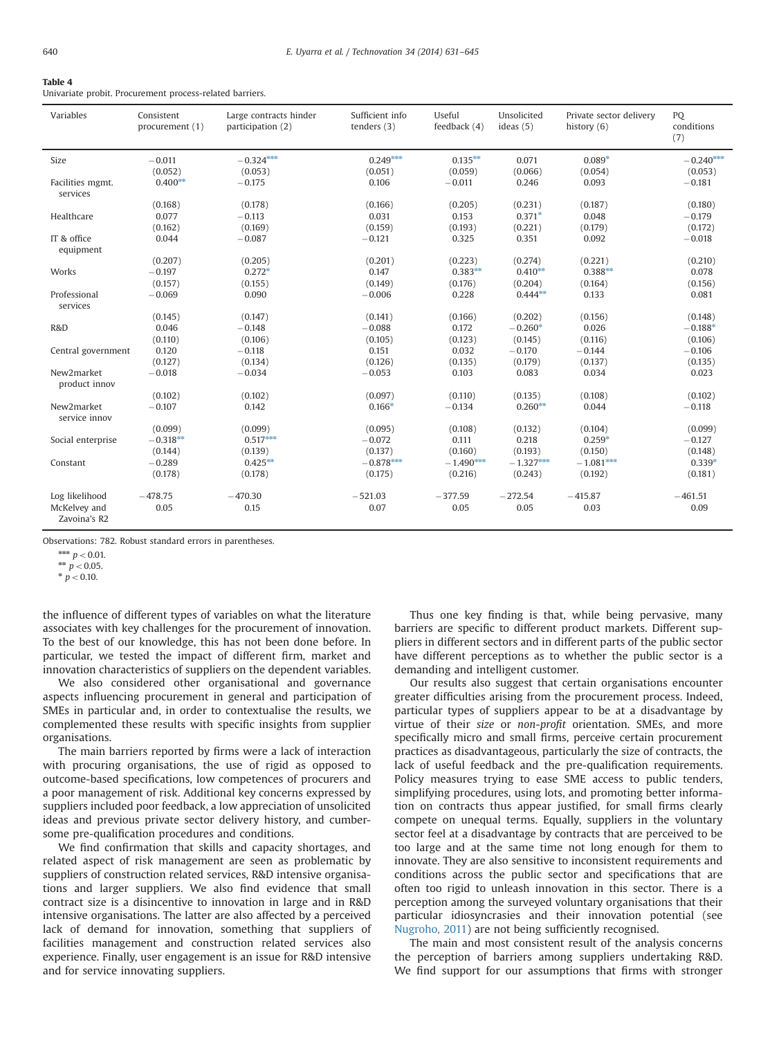#### <span id="page-9-0"></span>Table 4

Univariate probit. Procurement process-related barriers.

| Variables                    | Consistent<br>procurement (1) | Large contracts hinder<br>participation (2) | Sufficient info<br>tenders $(3)$ | Useful<br>feedback $(4)$ | Unsolicited<br>ideas $(5)$ | Private sector delivery<br>history (6) | PO<br>conditions<br>(7) |
|------------------------------|-------------------------------|---------------------------------------------|----------------------------------|--------------------------|----------------------------|----------------------------------------|-------------------------|
| Size                         | $-0.011$                      | $-0.324***$                                 | $0.249***$                       | $0.135***$               | 0.071                      | $0.089*$                               | $-0.240***$             |
|                              | (0.052)                       | (0.053)                                     | (0.051)                          | (0.059)                  | (0.066)                    | (0.054)                                | (0.053)                 |
| Facilities mgmt.<br>services | $0.400**$                     | $-0.175$                                    | 0.106                            | $-0.011$                 | 0.246                      | 0.093                                  | $-0.181$                |
|                              | (0.168)                       | (0.178)                                     | (0.166)                          | (0.205)                  | (0.231)                    | (0.187)                                | (0.180)                 |
| Healthcare                   | 0.077                         | $-0.113$                                    | 0.031                            | 0.153                    | $0.371*$                   | 0.048                                  | $-0.179$                |
|                              | (0.162)                       | (0.169)                                     | (0.159)                          | (0.193)                  | (0.221)                    | (0.179)                                | (0.172)                 |
| IT & office<br>equipment     | 0.044                         | $-0.087$                                    | $-0.121$                         | 0.325                    | 0.351                      | 0.092                                  | $-0.018$                |
|                              | (0.207)                       | (0.205)                                     | (0.201)                          | (0.223)                  | (0.274)                    | (0.221)                                | (0.210)                 |
| Works                        | $-0.197$                      | $0.272*$                                    | 0.147                            | $0.383**$                | $0.410***$                 | $0.388***$                             | 0.078                   |
|                              | (0.157)                       | (0.155)                                     | (0.149)                          | (0.176)                  | (0.204)                    | (0.164)                                | (0.156)                 |
| Professional<br>services     | $-0.069$                      | 0.090                                       | $-0.006$                         | 0.228                    | $0.444**$                  | 0.133                                  | 0.081                   |
|                              | (0.145)                       | (0.147)                                     | (0.141)                          | (0.166)                  | (0.202)                    | (0.156)                                | (0.148)                 |
| R&D                          | 0.046                         | $-0.148$                                    | $-0.088$                         | 0.172                    | $-0.260*$                  | 0.026                                  | $-0.188*$               |
|                              | (0.110)                       | (0.106)                                     | (0.105)                          | (0.123)                  | (0.145)                    | (0.116)                                | (0.106)                 |
| Central government           | 0.120                         | $-0.118$                                    | 0.151                            | 0.032                    | $-0.170$                   | $-0.144$                               | $-0.106$                |
|                              | (0.127)                       | (0.134)                                     | (0.126)                          | (0.135)                  | (0.179)                    | (0.137)                                | (0.135)                 |
| New2market<br>product innov  | $-0.018$                      | $-0.034$                                    | $-0.053$                         | 0.103                    | 0.083                      | 0.034                                  | 0.023                   |
|                              | (0.102)                       | (0.102)                                     | (0.097)                          | (0.110)                  | (0.135)                    | (0.108)                                | (0.102)                 |
| New2market<br>service innov  | $-0.107$                      | 0.142                                       | $0.166*$                         | $-0.134$                 | $0.260**$                  | 0.044                                  | $-0.118$                |
|                              | (0.099)                       | (0.099)                                     | (0.095)                          | (0.108)                  | (0.132)                    | (0.104)                                | (0.099)                 |
| Social enterprise            | $-0.318**$                    | $0.517***$                                  | $-0.072$                         | 0.111                    | 0.218                      | $0.259*$                               | $-0.127$                |
|                              | (0.144)                       | (0.139)                                     | (0.137)                          | (0.160)                  | (0.193)                    | (0.150)                                | (0.148)                 |
| Constant                     | $-0.289$                      | $0.425***$                                  | $-0.878***$                      | $-1.490***$              | $-1.327***$                | $-1.081***$                            | $0.339*$                |
|                              | (0.178)                       | (0.178)                                     | (0.175)                          | (0.216)                  | (0.243)                    | (0.192)                                | (0.181)                 |
| Log likelihood               | $-478.75$                     | $-470.30$                                   | $-521.03$                        | $-377.59$                | $-272.54$                  | $-415.87$                              | $-461.51$               |
| McKelvey and<br>Zavoina's R2 | 0.05                          | 0.15                                        | 0.07                             | 0.05                     | 0.05                       | 0.03                                   | 0.09                    |

Observations: 782. Robust standard errors in parentheses.

\*\*\*  $p < 0.01$ .

\*\*  $p < 0.05$ .

 $p < 0.10$ .

the influence of different types of variables on what the literature associates with key challenges for the procurement of innovation. To the best of our knowledge, this has not been done before. In particular, we tested the impact of different firm, market and innovation characteristics of suppliers on the dependent variables.

We also considered other organisational and governance aspects influencing procurement in general and participation of SMEs in particular and, in order to contextualise the results, we complemented these results with specific insights from supplier organisations.

The main barriers reported by firms were a lack of interaction with procuring organisations, the use of rigid as opposed to outcome-based specifications, low competences of procurers and a poor management of risk. Additional key concerns expressed by suppliers included poor feedback, a low appreciation of unsolicited ideas and previous private sector delivery history, and cumbersome pre-qualification procedures and conditions.

We find confirmation that skills and capacity shortages, and related aspect of risk management are seen as problematic by suppliers of construction related services, R&D intensive organisations and larger suppliers. We also find evidence that small contract size is a disincentive to innovation in large and in R&D intensive organisations. The latter are also affected by a perceived lack of demand for innovation, something that suppliers of facilities management and construction related services also experience. Finally, user engagement is an issue for R&D intensive and for service innovating suppliers.

Thus one key finding is that, while being pervasive, many barriers are specific to different product markets. Different suppliers in different sectors and in different parts of the public sector have different perceptions as to whether the public sector is a demanding and intelligent customer.

Our results also suggest that certain organisations encounter greater difficulties arising from the procurement process. Indeed, particular types of suppliers appear to be at a disadvantage by virtue of their size or non-profit orientation. SMEs, and more specifically micro and small firms, perceive certain procurement practices as disadvantageous, particularly the size of contracts, the lack of useful feedback and the pre-qualification requirements. Policy measures trying to ease SME access to public tenders, simplifying procedures, using lots, and promoting better information on contracts thus appear justified, for small firms clearly compete on unequal terms. Equally, suppliers in the voluntary sector feel at a disadvantage by contracts that are perceived to be too large and at the same time not long enough for them to innovate. They are also sensitive to inconsistent requirements and conditions across the public sector and specifications that are often too rigid to unleash innovation in this sector. There is a perception among the surveyed voluntary organisations that their particular idiosyncrasies and their innovation potential (see [Nugroho, 2011](#page-14-0)) are not being sufficiently recognised.

The main and most consistent result of the analysis concerns the perception of barriers among suppliers undertaking R&D. We find support for our assumptions that firms with stronger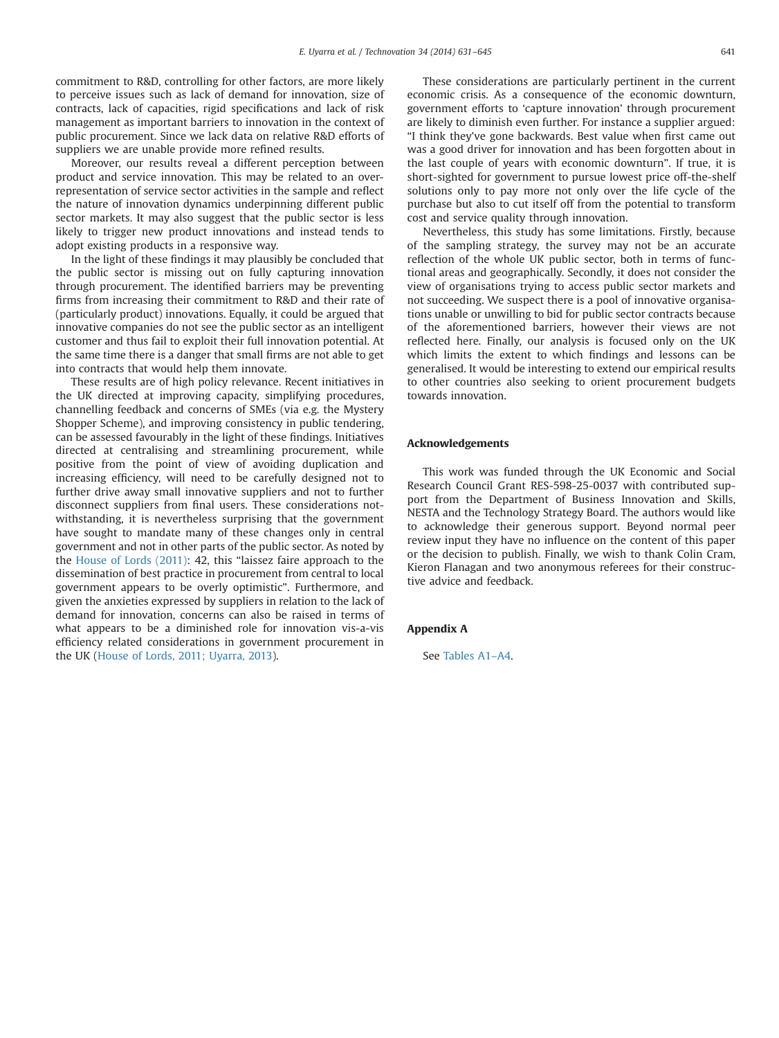<span id="page-10-0"></span>commitment to R&D, controlling for other factors, are more likely to perceive issues such as lack of demand for innovation, size of contracts, lack of capacities, rigid specifications and lack of risk management as important barriers to innovation in the context of public procurement. Since we lack data on relative R&D efforts of suppliers we are unable provide more refined results.

Moreover, our results reveal a different perception between product and service innovation. This may be related to an overrepresentation of service sector activities in the sample and reflect the nature of innovation dynamics underpinning different public sector markets. It may also suggest that the public sector is less likely to trigger new product innovations and instead tends to adopt existing products in a responsive way.

In the light of these findings it may plausibly be concluded that the public sector is missing out on fully capturing innovation through procurement. The identified barriers may be preventing firms from increasing their commitment to R&D and their rate of (particularly product) innovations. Equally, it could be argued that innovative companies do not see the public sector as an intelligent customer and thus fail to exploit their full innovation potential. At the same time there is a danger that small firms are not able to get into contracts that would help them innovate.

These results are of high policy relevance. Recent initiatives in the UK directed at improving capacity, simplifying procedures, channelling feedback and concerns of SMEs (via e.g. the Mystery Shopper Scheme), and improving consistency in public tendering, can be assessed favourably in the light of these findings. Initiatives directed at centralising and streamlining procurement, while positive from the point of view of avoiding duplication and increasing efficiency, will need to be carefully designed not to further drive away small innovative suppliers and not to further disconnect suppliers from final users. These considerations notwithstanding, it is nevertheless surprising that the government have sought to mandate many of these changes only in central government and not in other parts of the public sector. As noted by the [House of Lords \(2011\):](#page-14-0) 42, this "laissez faire approach to the dissemination of best practice in procurement from central to local government appears to be overly optimistic". Furthermore, and given the anxieties expressed by suppliers in relation to the lack of demand for innovation, concerns can also be raised in terms of what appears to be a diminished role for innovation vis-a-vis efficiency related considerations in government procurement in the UK ([House of Lords, 2011; Uyarra, 2013](#page-14-0)).

These considerations are particularly pertinent in the current economic crisis. As a consequence of the economic downturn, government efforts to 'capture innovation' through procurement are likely to diminish even further. For instance a supplier argued: "I think they've gone backwards. Best value when first came out was a good driver for innovation and has been forgotten about in the last couple of years with economic downturn". If true, it is short-sighted for government to pursue lowest price off-the-shelf solutions only to pay more not only over the life cycle of the purchase but also to cut itself off from the potential to transform cost and service quality through innovation.

Nevertheless, this study has some limitations. Firstly, because of the sampling strategy, the survey may not be an accurate reflection of the whole UK public sector, both in terms of functional areas and geographically. Secondly, it does not consider the view of organisations trying to access public sector markets and not succeeding. We suspect there is a pool of innovative organisations unable or unwilling to bid for public sector contracts because of the aforementioned barriers, however their views are not reflected here. Finally, our analysis is focused only on the UK which limits the extent to which findings and lessons can be generalised. It would be interesting to extend our empirical results to other countries also seeking to orient procurement budgets towards innovation.

# Acknowledgements

This work was funded through the UK Economic and Social Research Council Grant RES-598-25-0037 with contributed support from the Department of Business Innovation and Skills, NESTA and the Technology Strategy Board. The authors would like to acknowledge their generous support. Beyond normal peer review input they have no influence on the content of this paper or the decision to publish. Finally, we wish to thank Colin Cram, Kieron Flanagan and two anonymous referees for their constructive advice and feedback.

## Appendix A

See [Tables A1](#page-13-0)–A4.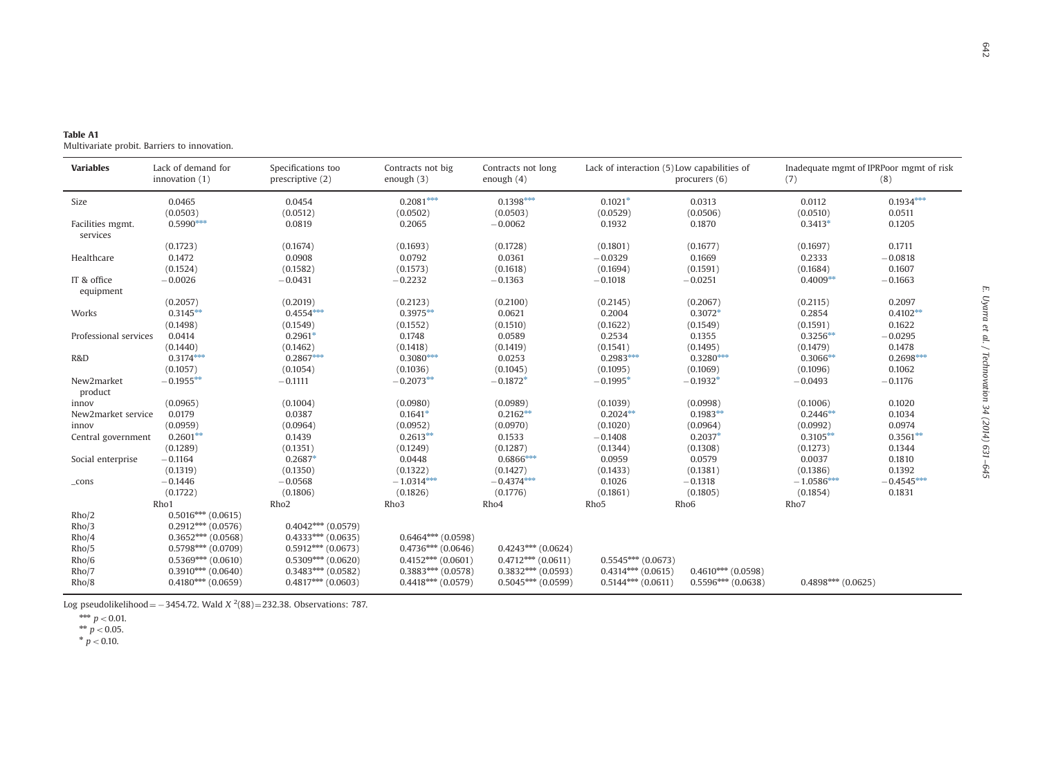| <b>Variables</b>             | Lack of demand for     | Specifications too     | Contracts not big      | Contracts not long   | Lack of interaction (5) Low capabilities of |                      |                      | Inadequate mgmt of IPRPoor mgmt of risk |
|------------------------------|------------------------|------------------------|------------------------|----------------------|---------------------------------------------|----------------------|----------------------|-----------------------------------------|
|                              | innovation $(1)$       | prescriptive (2)       | enough $(3)$           | enough $(4)$         |                                             | procurers (6)        | (7)                  | (8)                                     |
| Size                         | 0.0465                 | 0.0454                 | $0.2081***$            | $0.1398***$          | $0.1021*$                                   | 0.0313               | 0.0112               | $0.1934***$                             |
|                              | (0.0503)               | (0.0512)               | (0.0502)               | (0.0503)             | (0.0529)                                    | (0.0506)             | (0.0510)             | 0.0511                                  |
| Facilities mgmt.<br>services | $0.5990***$            | 0.0819                 | 0.2065                 | $-0.0062$            | 0.1932                                      | 0.1870               | $0.3413*$            | 0.1205                                  |
|                              | (0.1723)               | (0.1674)               | (0.1693)               | (0.1728)             | (0.1801)                                    | (0.1677)             | (0.1697)             | 0.1711                                  |
| Healthcare                   | 0.1472                 | 0.0908                 | 0.0792                 | 0.0361               | $-0.0329$                                   | 0.1669               | 0.2333               | $-0.0818$                               |
|                              | (0.1524)               | (0.1582)               | (0.1573)               | (0.1618)             | (0.1694)                                    | (0.1591)             | (0.1684)             | 0.1607                                  |
| IT & office<br>equipment     | $-0.0026$              | $-0.0431$              | $-0.2232$              | $-0.1363$            | $-0.1018$                                   | $-0.0251$            | $0.4009**$           | $-0.1663$                               |
|                              | (0.2057)               | (0.2019)               | (0.2123)               | (0.2100)             | (0.2145)                                    | (0.2067)             | (0.2115)             | 0.2097                                  |
| Works                        | $0.3145**$             | $0.4554***$            | $0.3975**$             | 0.0621               | 0.2004                                      | $0.3072*$            | 0.2854               | $0.4102**$                              |
|                              | (0.1498)               | (0.1549)               | (0.1552)               | (0.1510)             | (0.1622)                                    | (0.1549)             | (0.1591)             | 0.1622                                  |
| Professional services        | 0.0414                 | $0.2961*$              | 0.1748                 | 0.0589               | 0.2534                                      | 0.1355               | $0.3256***$          | $-0.0295$                               |
|                              | (0.1440)               | (0.1462)               | (0.1418)               | (0.1419)             | (0.1541)                                    | (0.1495)             | (0.1479)             | 0.1478                                  |
| R&D                          | $0.3174***$            | $0.2867***$            | $0.3080***$            | 0.0253               | $0.2983***$                                 | $0.3280***$          | $0.3066**$           | $0.2698***$                             |
|                              | (0.1057)               | (0.1054)               | (0.1036)               | (0.1045)             | (0.1095)                                    | (0.1069)             | (0.1096)             | 0.1062                                  |
| New2market                   | $-0.1955$ **           | $-0.1111$              | $-0.2073***$           | $-0.1872*$           | $-0.1995*$                                  | $-0.1932*$           | $-0.0493$            | $-0.1176$                               |
| product                      |                        |                        |                        |                      |                                             |                      |                      |                                         |
| innov                        | (0.0965)               | (0.1004)               | (0.0980)               | (0.0989)             | (0.1039)                                    | (0.0998)             | (0.1006)             | 0.1020                                  |
| New2market service           | 0.0179                 | 0.0387                 | $0.1641*$              | $0.2162***$          | $0.2024**$                                  | $0.1983**$           | $0.2446**$           | 0.1034                                  |
| innov                        | (0.0959)               | (0.0964)               | (0.0952)               | (0.0970)             | (0.1020)                                    | (0.0964)             | (0.0992)             | 0.0974                                  |
| Central government           | $0.2601**$             | 0.1439                 | $0.2613***$            | 0.1533               | $-0.1408$                                   | $0.2037*$            | $0.3105$ **          | $0.3561**$                              |
|                              | (0.1289)               | (0.1351)               | (0.1249)               | (0.1287)             | (0.1344)                                    | (0.1308)             | (0.1273)             | 0.1344                                  |
| Social enterprise            | $-0.1164$              | $0.2687*$              | 0.0448                 | $0.6866***$          | 0.0959                                      | 0.0579               | 0.0037               | 0.1810                                  |
|                              | (0.1319)               | (0.1350)               | (0.1322)               | (0.1427)             | (0.1433)                                    | (0.1381)             | (0.1386)             | 0.1392                                  |
| $_{\rm -cons}$               | $-0.1446$              | $-0.0568$              | $-1.0314***$           | $-0.4374***$         | 0.1026                                      | $-0.1318$            | $-1.0586***$         | $-0.4545***$                            |
|                              | (0.1722)               | (0.1806)               | (0.1826)               | (0.1776)             | (0.1861)                                    | (0.1805)             | (0.1854)             | 0.1831                                  |
|                              | Rho1                   | Rho <sub>2</sub>       | Rho3                   | Rho4                 | Rho <sub>5</sub>                            | Rho6                 | Rho7                 |                                         |
| Rho/2                        | $0.5016***$ (0.0615)   |                        |                        |                      |                                             |                      |                      |                                         |
| Rho/3                        | $0.2912***$ $(0.0576)$ | $0.4042***$ $(0.0579)$ |                        |                      |                                             |                      |                      |                                         |
| Rho/4                        | $0.3652***$ (0.0568)   | $0.4333***$ $(0.0635)$ | $0.6464***$ (0.0598)   |                      |                                             |                      |                      |                                         |
| Rho/5                        | $0.5798***$ (0.0709)   | $0.5912***$ (0.0673)   | $0.4736***$ $(0.0646)$ | $0.4243***$ (0.0624) |                                             |                      |                      |                                         |
| Rho/6                        | $0.5369***$ $(0.0610)$ | $0.5309***$ (0.0620)   | $0.4152***$ (0.0601)   | $0.4712***$ (0.0611) | $0.5545***$ (0.0673)                        |                      |                      |                                         |
| Rho/7                        | $0.3910***$ (0.0640)   | $0.3483***$ (0.0582)   | $0.3883***$ (0.0578)   | $0.3832***$ (0.0593) | $0.4314***$ (0.0615)                        | $0.4610***$ (0.0598) |                      |                                         |
| Rho/8                        | $0.4180***$ (0.0659)   | $0.4817***$ (0.0603)   | $0.4418***$ (0.0579)   | $0.5045***$ (0.0599) | $0.5144***$ (0.0611)                        | $0.5596***$ (0.0638) | $0.4898***$ (0.0625) |                                         |

Table A1 Multivariate probit. Barriers to innovation.

Log pseudolikelihood =  $-3454.72$ . Wald  $X^2(88) = 232.38$ . Observations: 787.

\*\*\*  $p < 0.01$ .<br>\*\*  $p < 0.05$ .<br>\*  $p < 0.10$ .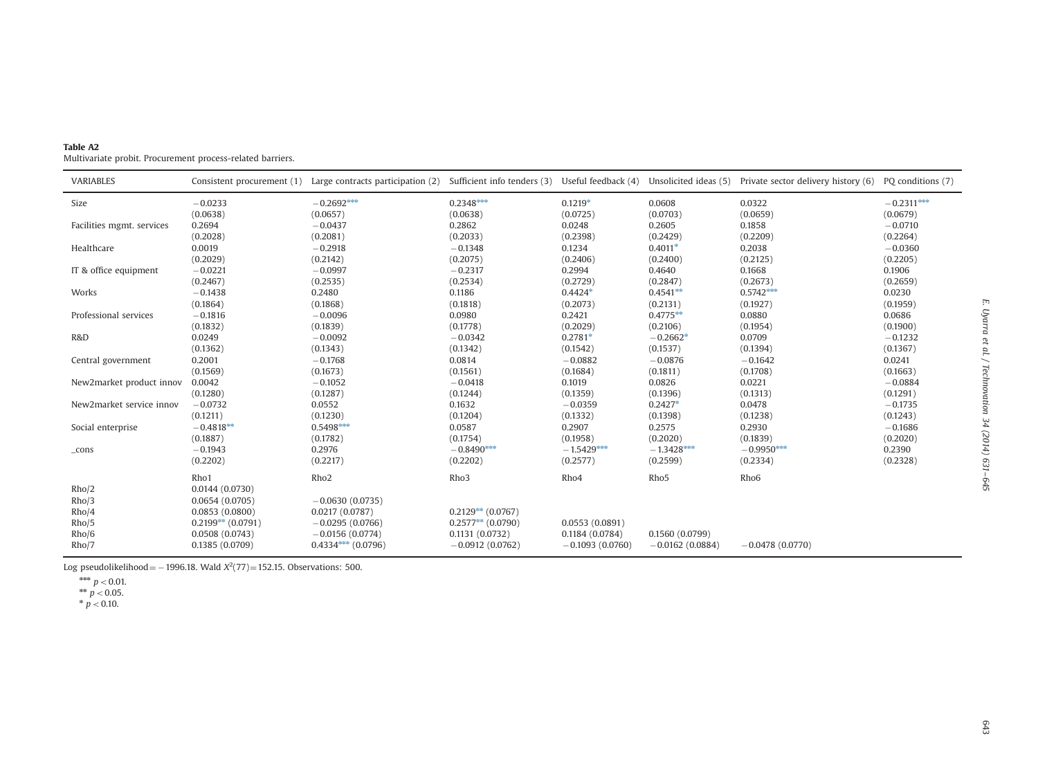|  | - |  |  |
|--|---|--|--|
|--|---|--|--|

Multivariate probit. Procurement process-related barriers.

| VARIABLES                 |                      |                      |                        |                   |                   | Consistent procurement (1) Large contracts participation (2) Sufficient info tenders (3) Useful feedback (4) Unsolicited ideas (5) Private sector delivery history (6) PO conditions (7) |              |
|---------------------------|----------------------|----------------------|------------------------|-------------------|-------------------|------------------------------------------------------------------------------------------------------------------------------------------------------------------------------------------|--------------|
| Size                      | $-0.0233$            | $-0.2692***$         | $0.2348***$            | $0.1219*$         | 0.0608            | 0.0322                                                                                                                                                                                   | $-0.2311***$ |
|                           | (0.0638)             | (0.0657)             | (0.0638)               | (0.0725)          | (0.0703)          | (0.0659)                                                                                                                                                                                 | (0.0679)     |
| Facilities mgmt. services | 0.2694               | $-0.0437$            | 0.2862                 | 0.0248            | 0.2605            | 0.1858                                                                                                                                                                                   | $-0.0710$    |
|                           | (0.2028)             | (0.2081)             | (0.2033)               | (0.2398)          | (0.2429)          | (0.2209)                                                                                                                                                                                 | (0.2264)     |
| Healthcare                | 0.0019               | $-0.2918$            | $-0.1348$              | 0.1234            | $0.4011*$         | 0.2038                                                                                                                                                                                   | $-0.0360$    |
|                           | (0.2029)             | (0.2142)             | (0.2075)               | (0.2406)          | (0.2400)          | (0.2125)                                                                                                                                                                                 | (0.2205)     |
| IT & office equipment     | $-0.0221$            | $-0.0997$            | $-0.2317$              | 0.2994            | 0.4640            | 0.1668                                                                                                                                                                                   | 0.1906       |
|                           | (0.2467)             | (0.2535)             | (0.2534)               | (0.2729)          | (0.2847)          | (0.2673)                                                                                                                                                                                 | (0.2659)     |
| Works                     | $-0.1438$            | 0.2480               | 0.1186                 | $0.4424*$         | $0.4541**$        | $0.5742***$                                                                                                                                                                              | 0.0230       |
|                           | (0.1864)             | (0.1868)             | (0.1818)               | (0.2073)          | (0.2131)          | (0.1927)                                                                                                                                                                                 | (0.1959)     |
| Professional services     | $-0.1816$            | $-0.0096$            | 0.0980                 | 0.2421            | $0.4775***$       | 0.0880                                                                                                                                                                                   | 0.0686       |
|                           | (0.1832)             | (0.1839)             | (0.1778)               | (0.2029)          | (0.2106)          | (0.1954)                                                                                                                                                                                 | (0.1900)     |
| R&D                       | 0.0249               | $-0.0092$            | $-0.0342$              | $0.2781*$         | $-0.2662*$        | 0.0709                                                                                                                                                                                   | $-0.1232$    |
|                           | (0.1362)             | (0.1343)             | (0.1342)               | (0.1542)          | (0.1537)          | (0.1394)                                                                                                                                                                                 | (0.1367)     |
| Central government        | 0.2001               | $-0.1768$            | 0.0814                 | $-0.0882$         | $-0.0876$         | $-0.1642$                                                                                                                                                                                | 0.0241       |
|                           | (0.1569)             | (0.1673)             | (0.1561)               | (0.1684)          | (0.1811)          | (0.1708)                                                                                                                                                                                 | (0.1663)     |
| New2market product innov  | 0.0042               | $-0.1052$            | $-0.0418$              | 0.1019            | 0.0826            | 0.0221                                                                                                                                                                                   | $-0.0884$    |
|                           | (0.1280)             | (0.1287)             | (0.1244)               | (0.1359)          | (0.1396)          | (0.1313)                                                                                                                                                                                 | (0.1291)     |
| New2market service innov  | $-0.0732$            | 0.0552               | 0.1632                 | $-0.0359$         | $0.2427*$         | 0.0478                                                                                                                                                                                   | $-0.1735$    |
|                           | (0.1211)             | (0.1230)             | (0.1204)               | (0.1332)          | (0.1398)          | (0.1238)                                                                                                                                                                                 | (0.1243)     |
| Social enterprise         | $-0.4818**$          | $0.5498***$          | 0.0587                 | 0.2907            | 0.2575            | 0.2930                                                                                                                                                                                   | $-0.1686$    |
|                           | (0.1887)             | (0.1782)             | (0.1754)               | (0.1958)          | (0.2020)          | (0.1839)                                                                                                                                                                                 | (0.2020)     |
| $_{\rm cons}$             | $-0.1943$            | 0.2976               | $-0.8490***$           | $-1.5429***$      | $-1.3428***$      | $-0.9950***$                                                                                                                                                                             | 0.2390       |
|                           | (0.2202)             | (0.2217)             | (0.2202)               | (0.2577)          | (0.2599)          | (0.2334)                                                                                                                                                                                 | (0.2328)     |
|                           | Rho1                 | Rho <sub>2</sub>     | Rho3                   | Rho <sub>4</sub>  | Rho <sub>5</sub>  | Rho <sub>6</sub>                                                                                                                                                                         |              |
| Rho/2                     | 0.0144(0.0730)       |                      |                        |                   |                   |                                                                                                                                                                                          |              |
| Rho/3                     | 0.0654(0.0705)       | $-0.0630(0.0735)$    |                        |                   |                   |                                                                                                                                                                                          |              |
| Rho/4                     | 0.0853(0.0800)       | 0.0217(0.0787)       | $0.2129^{**}$ (0.0767) |                   |                   |                                                                                                                                                                                          |              |
| Rho/5                     | $0.2199***$ (0.0791) | $-0.0295(0.0766)$    | $0.2577**$ (0.0790)    | 0.0553(0.0891)    |                   |                                                                                                                                                                                          |              |
| Rho/6                     | 0.0508(0.0743)       | $-0.0156(0.0774)$    | 0.1131(0.0732)         | 0.1184(0.0784)    | 0.1560(0.0799)    |                                                                                                                                                                                          |              |
| Rho/7                     | 0.1385(0.0709)       | $0.4334***$ (0.0796) | $-0.0912(0.0762)$      | $-0.1093(0.0760)$ | $-0.0162(0.0884)$ | $-0.0478(0.0770)$                                                                                                                                                                        |              |

Log pseudolikelihood =  $-1996.18$ . Wald  $X^2(77)$  = 152.15. Observations: 500.

\*\*\*  $p < 0.01$ .<br>\*\*  $p < 0.05$ .<br>\*  $p < 0.10$ .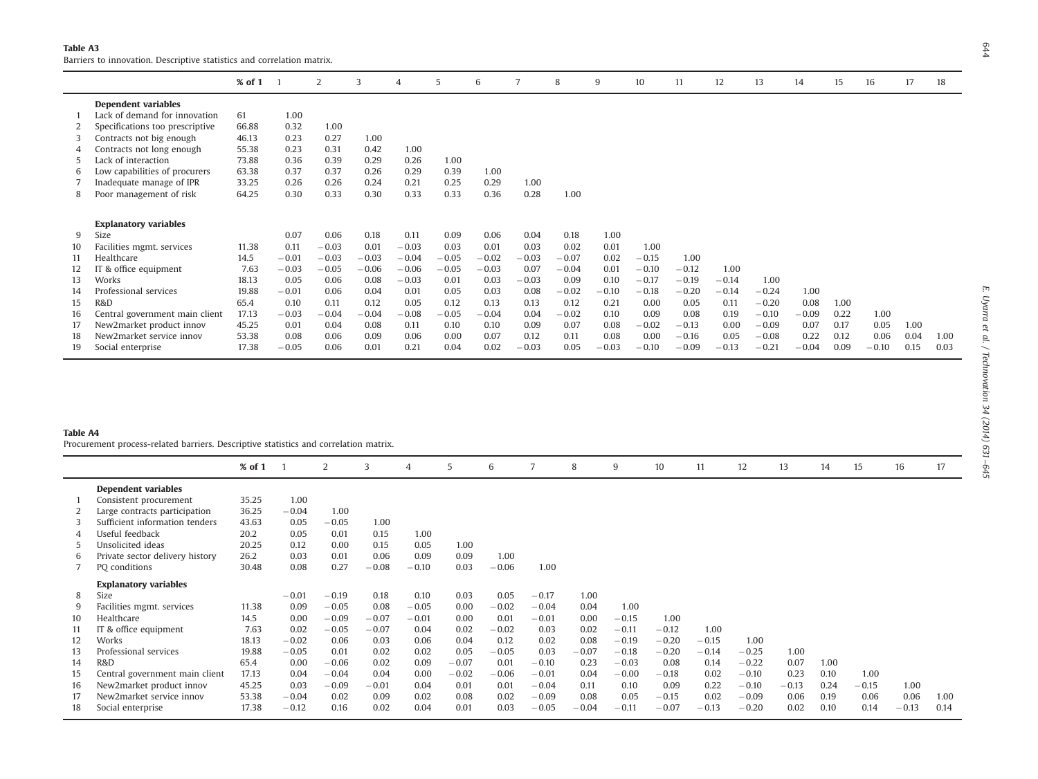# <span id="page-13-0"></span>Table A3

Barriers to innovation. Descriptive statistics and correlation matrix.

|                |                                 | % of 1 |         | 2       | 3       | 4       | 5       | 6       | 7       | 8       | 9       | 10      | 11      | 12      | 13      | 14      | 15   | 16      | 17   | 18   |
|----------------|---------------------------------|--------|---------|---------|---------|---------|---------|---------|---------|---------|---------|---------|---------|---------|---------|---------|------|---------|------|------|
|                | <b>Dependent variables</b>      |        |         |         |         |         |         |         |         |         |         |         |         |         |         |         |      |         |      |      |
|                | Lack of demand for innovation   | 61     | 1.00    |         |         |         |         |         |         |         |         |         |         |         |         |         |      |         |      |      |
| 2              | Specifications too prescriptive | 66.88  | 0.32    | 1.00    |         |         |         |         |         |         |         |         |         |         |         |         |      |         |      |      |
|                | Contracts not big enough        | 46.13  | 0.23    | 0.27    | 1.00    |         |         |         |         |         |         |         |         |         |         |         |      |         |      |      |
| $\overline{4}$ | Contracts not long enough       | 55.38  | 0.23    | 0.31    | 0.42    | 1.00    |         |         |         |         |         |         |         |         |         |         |      |         |      |      |
| 5              | Lack of interaction             | 73.88  | 0.36    | 0.39    | 0.29    | 0.26    | 1.00    |         |         |         |         |         |         |         |         |         |      |         |      |      |
| 6              | Low capabilities of procurers   | 63.38  | 0.37    | 0.37    | 0.26    | 0.29    | 0.39    | 1.00    |         |         |         |         |         |         |         |         |      |         |      |      |
|                | Inadequate manage of IPR        | 33.25  | 0.26    | 0.26    | 0.24    | 0.21    | 0.25    | 0.29    | 1.00    |         |         |         |         |         |         |         |      |         |      |      |
|                | Poor management of risk         | 64.25  | 0.30    | 0.33    | 0.30    | 0.33    | 0.33    | 0.36    | 0.28    | 1.00    |         |         |         |         |         |         |      |         |      |      |
|                |                                 |        |         |         |         |         |         |         |         |         |         |         |         |         |         |         |      |         |      |      |
|                | <b>Explanatory variables</b>    |        |         |         |         |         |         |         |         |         |         |         |         |         |         |         |      |         |      |      |
| 9              | Size                            |        | 0.07    | 0.06    | 0.18    | 0.11    | 0.09    | 0.06    | 0.04    | 0.18    | 1.00    |         |         |         |         |         |      |         |      |      |
| 10             | Facilities mgmt. services       | 11.38  | 0.11    | $-0.03$ | 0.01    | $-0.03$ | 0.03    | 0.01    | 0.03    | 0.02    | 0.01    | 1.00    |         |         |         |         |      |         |      |      |
| 11             | Healthcare                      | 14.5   | $-0.01$ | $-0.03$ | $-0.03$ | $-0.04$ | $-0.05$ | $-0.02$ | $-0.03$ | $-0.07$ | 0.02    | $-0.15$ | 1.00    |         |         |         |      |         |      |      |
| 12             | IT & office equipment           | 7.63   | $-0.03$ | $-0.05$ | $-0.06$ | $-0.06$ | $-0.05$ | $-0.03$ | 0.07    | $-0.04$ | 0.01    | $-0.10$ | $-0.12$ | 1.00    |         |         |      |         |      |      |
| 13             | Works                           | 18.13  | 0.05    | 0.06    | 0.08    | $-0.03$ | 0.01    | 0.03    | $-0.03$ | 0.09    | 0.10    | $-0.17$ | $-0.19$ | $-0.14$ | 1.00    |         |      |         |      |      |
| 14             | Professional services           | 19.88  | $-0.01$ | 0.06    | 0.04    | 0.01    | 0.05    | 0.03    | 0.08    | $-0.02$ | $-0.10$ | $-0.18$ | $-0.20$ | $-0.14$ | $-0.24$ | 1.00    |      |         |      |      |
| 15             | R&D                             | 65.4   | 0.10    | 0.11    | 0.12    | 0.05    | 0.12    | 0.13    | 0.13    | 0.12    | 0.21    | 0.00    | 0.05    | 0.11    | $-0.20$ | 0.08    | 1.00 |         |      |      |
| 16             | Central government main client  | 17.13  | $-0.03$ | $-0.04$ | $-0.04$ | $-0.08$ | $-0.05$ | $-0.04$ | 0.04    | $-0.02$ | 0.10    | 0.09    | 0.08    | 0.19    | $-0.10$ | $-0.09$ | 0.22 | 1.00    |      |      |
| 17             | New2market product innov        | 45.25  | 0.01    | 0.04    | 0.08    | 0.11    | 0.10    | 0.10    | 0.09    | 0.07    | 0.08    | $-0.02$ | $-0.13$ | 0.00    | $-0.09$ | 0.07    | 0.17 | 0.05    | 1.00 |      |
| 18             | New2market service innov        | 53.38  | 0.08    | 0.06    | 0.09    | 0.06    | 0.00    | 0.07    | 0.12    | 0.11    | 0.08    | 0.00    | $-0.16$ | 0.05    | $-0.08$ | 0.22    | 0.12 | 0.06    | 0.04 | 1.00 |
| 19             | Social enterprise               | 17.38  | $-0.05$ | 0.06    | 0.01    | 0.21    | 0.04    | 0.02    | $-0.03$ | 0.05    | $-0.03$ | $-0.10$ | $-0.09$ | $-0.13$ | $-0.21$ | $-0.04$ | 0.09 | $-0.10$ | 0.15 | 0.03 |
|                |                                 |        |         |         |         |         |         |         |         |         |         |         |         |         |         |         |      |         |      |      |

#### Table A4

Procurement process-related barriers. Descriptive statistics and correlation matrix.

|                |                                 | % of 1 |         | 2       | 3       | $\overline{4}$ | 5       | 6       |         | 8       | 9       | 10      | 11      | 12      | 13      | 14   | 15      | 16      | 17   |
|----------------|---------------------------------|--------|---------|---------|---------|----------------|---------|---------|---------|---------|---------|---------|---------|---------|---------|------|---------|---------|------|
|                | <b>Dependent variables</b>      |        |         |         |         |                |         |         |         |         |         |         |         |         |         |      |         |         |      |
|                | Consistent procurement          | 35.25  | 1.00    |         |         |                |         |         |         |         |         |         |         |         |         |      |         |         |      |
|                | Large contracts participation   | 36.25  | $-0.04$ | 1.00    |         |                |         |         |         |         |         |         |         |         |         |      |         |         |      |
|                | Sufficient information tenders  | 43.63  | 0.05    | $-0.05$ | 1.00    |                |         |         |         |         |         |         |         |         |         |      |         |         |      |
| $\overline{4}$ | Useful feedback                 | 20.2   | 0.05    | 0.01    | 0.15    | 1.00           |         |         |         |         |         |         |         |         |         |      |         |         |      |
| 5              | Unsolicited ideas               | 20.25  | 0.12    | 0.00    | 0.15    | 0.05           | 1.00    |         |         |         |         |         |         |         |         |      |         |         |      |
| 6              | Private sector delivery history | 26.2   | 0.03    | 0.01    | 0.06    | 0.09           | 0.09    | 1.00    |         |         |         |         |         |         |         |      |         |         |      |
|                | PO conditions                   | 30.48  | 0.08    | 0.27    | $-0.08$ | $-0.10$        | 0.03    | $-0.06$ | 1.00    |         |         |         |         |         |         |      |         |         |      |
|                | <b>Explanatory variables</b>    |        |         |         |         |                |         |         |         |         |         |         |         |         |         |      |         |         |      |
| 8              | Size                            |        | $-0.01$ | $-0.19$ | 0.18    | 0.10           | 0.03    | 0.05    | $-0.17$ | 1.00    |         |         |         |         |         |      |         |         |      |
| 9              | Facilities mgmt. services       | 11.38  | 0.09    | $-0.05$ | 0.08    | $-0.05$        | 0.00    | $-0.02$ | $-0.04$ | 0.04    | 1.00    |         |         |         |         |      |         |         |      |
| 10             | Healthcare                      | 14.5   | 0.00    | $-0.09$ | $-0.07$ | $-0.01$        | 0.00    | 0.01    | $-0.01$ | 0.00    | $-0.15$ | 1.00    |         |         |         |      |         |         |      |
| 11             | IT & office equipment           | 7.63   | 0.02    | $-0.05$ | $-0.07$ | 0.04           | 0.02    | $-0.02$ | 0.03    | 0.02    | $-0.11$ | $-0.12$ | 1.00    |         |         |      |         |         |      |
| 12             | Works                           | 18.13  | $-0.02$ | 0.06    | 0.03    | 0.06           | 0.04    | 0.12    | 0.02    | 0.08    | $-0.19$ | $-0.20$ | $-0.15$ | 1.00    |         |      |         |         |      |
| 13             | Professional services           | 19.88  | $-0.05$ | 0.01    | 0.02    | 0.02           | 0.05    | $-0.05$ | 0.03    | $-0.07$ | $-0.18$ | $-0.20$ | $-0.14$ | $-0.25$ | 1.00    |      |         |         |      |
| 14             | R&D                             | 65.4   | 0.00    | $-0.06$ | 0.02    | 0.09           | $-0.07$ | 0.01    | $-0.10$ | 0.23    | $-0.03$ | 0.08    | 0.14    | $-0.22$ | 0.07    | 1.00 |         |         |      |
| 15             | Central government main client  | 17.13  | 0.04    | $-0.04$ | 0.04    | 0.00           | $-0.02$ | $-0.06$ | $-0.01$ | 0.04    | $-0.00$ | $-0.18$ | 0.02    | $-0.10$ | 0.23    | 0.10 | 1.00    |         |      |
| 16             | New2market product innov        | 45.25  | 0.03    | $-0.09$ | $-0.01$ | 0.04           | 0.01    | 0.01    | $-0.04$ | 0.11    | 0.10    | 0.09    | 0.22    | $-0.10$ | $-0.13$ | 0.24 | $-0.15$ | 1.00    |      |
| 17             | New2market service innov        | 53.38  | $-0.04$ | 0.02    | 0.09    | 0.02           | 0.08    | 0.02    | $-0.09$ | 0.08    | 0.05    | $-0.15$ | 0.02    | $-0.09$ | 0.06    | 0.19 | 0.06    | 0.06    | 1.00 |
| 18             | Social enterprise               | 17.38  | $-0.12$ | 0.16    | 0.02    | 0.04           | 0.01    | 0.03    | $-0.05$ | $-0.04$ | $-0.11$ | $-0.07$ | $-0.13$ | $-0.20$ | 0.02    | 0.10 | 0.14    | $-0.13$ | 0.14 |